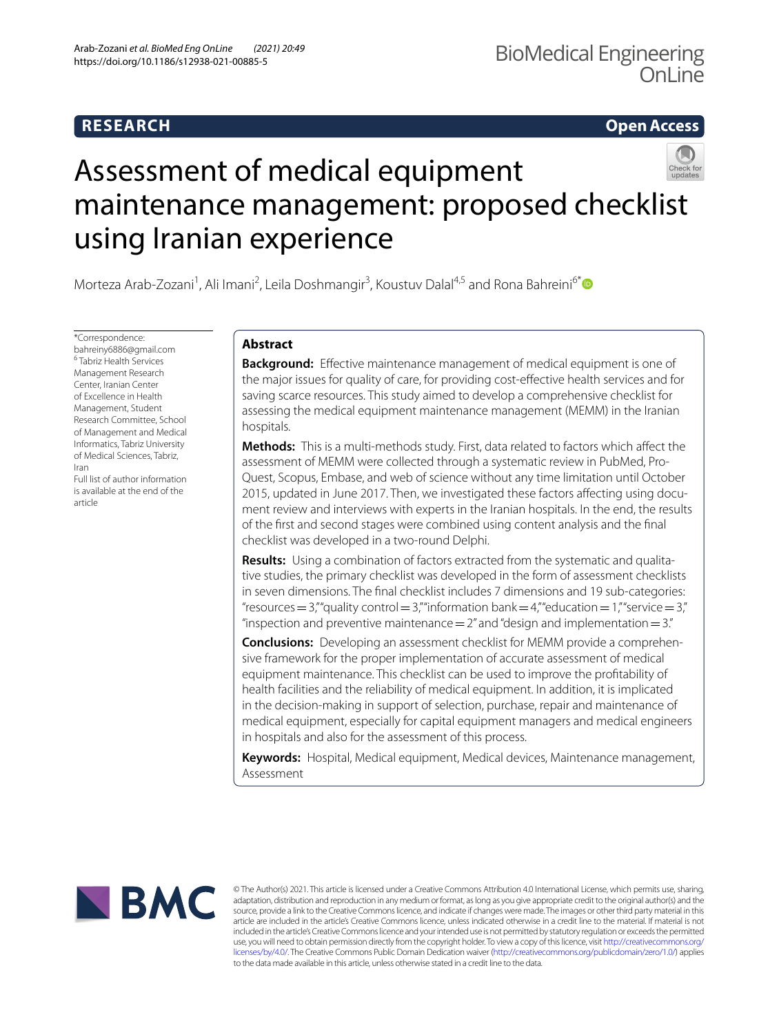# **RESEARCH**

**Open Access**

# Assessment of medical equipment maintenance management: proposed checklist using Iranian experience

Morteza Arab-Zozani<sup>1</sup>, Ali Imani<sup>2</sup>, Leila Doshmangir<sup>3</sup>, Koustuv Dalal<sup>4,5</sup> and Rona Bahreini<sup>6[\\*](http://orcid.org/0000-0002-9940-9468)</sup>

\*Correspondence: bahreiny6886@gmail.com 6 Tabriz Health Services Management Research Center, Iranian Center of Excellence in Health Management, Student Research Committee, School of Management and Medical Informatics, Tabriz University of Medical Sciences, Tabriz, Iran

Full list of author information is available at the end of the article

## **Abstract**

**Background:** Effective maintenance management of medical equipment is one of the major issues for quality of care, for providing cost-efective health services and for saving scarce resources. This study aimed to develop a comprehensive checklist for assessing the medical equipment maintenance management (MEMM) in the Iranian hospitals.

**Methods:** This is a multi-methods study. First, data related to factors which afect the assessment of MEMM were collected through a systematic review in PubMed, Pro‑ Quest, Scopus, Embase, and web of science without any time limitation until October 2015, updated in June 2017. Then, we investigated these factors affecting using document review and interviews with experts in the Iranian hospitals. In the end, the results of the frst and second stages were combined using content analysis and the fnal checklist was developed in a two-round Delphi.

**Results:** Using a combination of factors extracted from the systematic and qualitative studies, the primary checklist was developed in the form of assessment checklists in seven dimensions. The fnal checklist includes 7 dimensions and 19 sub-categories: "resources = 3,"" quality control = 3," "information bank = 4," "education = 1," "service = 3," "inspection and preventive maintenance  $=2$ " and "design and implementation  $=3$ ."

**Conclusions:** Developing an assessment checklist for MEMM provide a comprehensive framework for the proper implementation of accurate assessment of medical equipment maintenance. This checklist can be used to improve the proftability of health facilities and the reliability of medical equipment. In addition, it is implicated in the decision-making in support of selection, purchase, repair and maintenance of medical equipment, especially for capital equipment managers and medical engineers in hospitals and also for the assessment of this process.

**Keywords:** Hospital, Medical equipment, Medical devices, Maintenance management, Assessment



© The Author(s) 2021. This article is licensed under a Creative Commons Attribution 4.0 International License, which permits use, sharing, adaptation, distribution and reproduction in any medium or format, as long as you give appropriate credit to the original author(s) and the source, provide a link to the Creative Commons licence, and indicate if changes were made. The images or other third party material in this article are included in the article's Creative Commons licence, unless indicated otherwise in a credit line to the material. If material is not included in the article's Creative Commons licence and your intended use is not permitted by statutory regulation or exceeds the permitted use, you will need to obtain permission directly from the copyright holder. To view a copy of this licence, visit [http://creativecommons.org/](http://creativecommons.org/licenses/by/4.0/) [licenses/by/4.0/.](http://creativecommons.org/licenses/by/4.0/) The Creative Commons Public Domain Dedication waiver [\(http://creativecommons.org/publicdomain/zero/1.0/\)](http://creativecommons.org/publicdomain/zero/1.0/) applies to the data made available in this article, unless otherwise stated in a credit line to the data.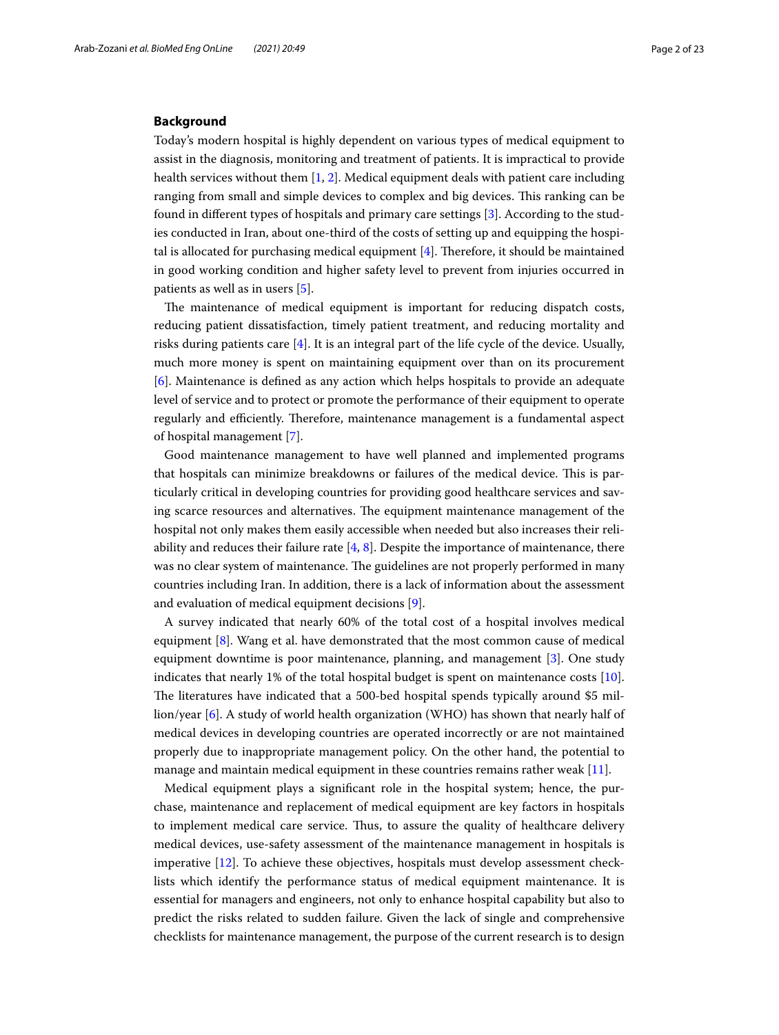## **Background**

Today's modern hospital is highly dependent on various types of medical equipment to assist in the diagnosis, monitoring and treatment of patients. It is impractical to provide health services without them [\[1](#page-22-0), [2\]](#page-22-1). Medical equipment deals with patient care including ranging from small and simple devices to complex and big devices. This ranking can be found in diferent types of hospitals and primary care settings [\[3](#page-22-2)]. According to the studies conducted in Iran, about one-third of the costs of setting up and equipping the hospital is allocated for purchasing medical equipment  $[4]$  $[4]$ . Therefore, it should be maintained in good working condition and higher safety level to prevent from injuries occurred in patients as well as in users [[5\]](#page-22-4).

The maintenance of medical equipment is important for reducing dispatch costs, reducing patient dissatisfaction, timely patient treatment, and reducing mortality and risks during patients care  $[4]$  $[4]$ . It is an integral part of the life cycle of the device. Usually, much more money is spent on maintaining equipment over than on its procurement [[6\]](#page-22-5). Maintenance is defned as any action which helps hospitals to provide an adequate level of service and to protect or promote the performance of their equipment to operate regularly and efficiently. Therefore, maintenance management is a fundamental aspect of hospital management [[7](#page-22-6)].

Good maintenance management to have well planned and implemented programs that hospitals can minimize breakdowns or failures of the medical device. This is particularly critical in developing countries for providing good healthcare services and saving scarce resources and alternatives. The equipment maintenance management of the hospital not only makes them easily accessible when needed but also increases their reliability and reduces their failure rate  $[4, 8]$  $[4, 8]$  $[4, 8]$ . Despite the importance of maintenance, there was no clear system of maintenance. The guidelines are not properly performed in many countries including Iran. In addition, there is a lack of information about the assessment and evaluation of medical equipment decisions [[9\]](#page-22-8).

A survey indicated that nearly 60% of the total cost of a hospital involves medical equipment [[8\]](#page-22-7). Wang et al. have demonstrated that the most common cause of medical equipment downtime is poor maintenance, planning, and management [[3\]](#page-22-2). One study indicates that nearly 1% of the total hospital budget is spent on maintenance costs [\[10](#page-22-9)]. The literatures have indicated that a 500-bed hospital spends typically around \$5 million/year [[6\]](#page-22-5). A study of world health organization (WHO) has shown that nearly half of medical devices in developing countries are operated incorrectly or are not maintained properly due to inappropriate management policy. On the other hand, the potential to manage and maintain medical equipment in these countries remains rather weak [\[11](#page-22-10)].

Medical equipment plays a signifcant role in the hospital system; hence, the purchase, maintenance and replacement of medical equipment are key factors in hospitals to implement medical care service. Thus, to assure the quality of healthcare delivery medical devices, use-safety assessment of the maintenance management in hospitals is imperative [[12](#page-22-11)]. To achieve these objectives, hospitals must develop assessment checklists which identify the performance status of medical equipment maintenance. It is essential for managers and engineers, not only to enhance hospital capability but also to predict the risks related to sudden failure. Given the lack of single and comprehensive checklists for maintenance management, the purpose of the current research is to design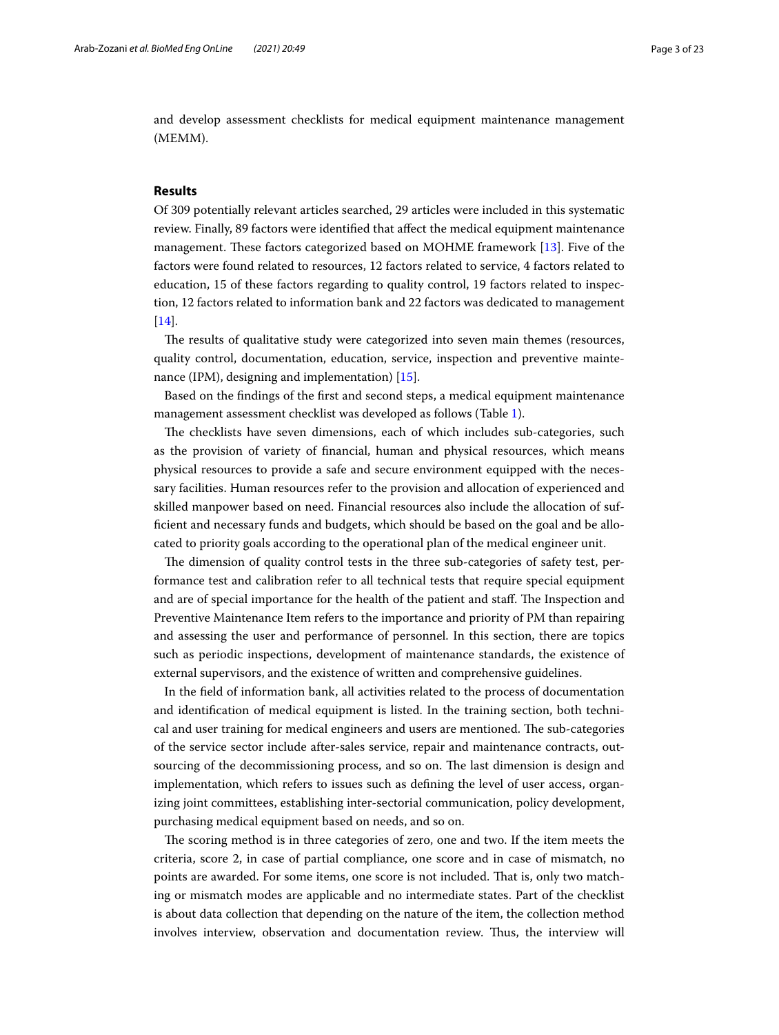and develop assessment checklists for medical equipment maintenance management (MEMM).

## **Results**

Of 309 potentially relevant articles searched, 29 articles were included in this systematic review. Finally, 89 factors were identified that affect the medical equipment maintenance management. These factors categorized based on MOHME framework [\[13\]](#page-22-12). Five of the factors were found related to resources, 12 factors related to service, 4 factors related to education, 15 of these factors regarding to quality control, 19 factors related to inspection, 12 factors related to information bank and 22 factors was dedicated to management [[14\]](#page-22-13).

The results of qualitative study were categorized into seven main themes (resources, quality control, documentation, education, service, inspection and preventive maintenance (IPM), designing and implementation) [\[15\]](#page-22-14).

Based on the fndings of the frst and second steps, a medical equipment maintenance management assessment checklist was developed as follows (Table [1\)](#page-3-0).

The checklists have seven dimensions, each of which includes sub-categories, such as the provision of variety of fnancial, human and physical resources, which means physical resources to provide a safe and secure environment equipped with the necessary facilities. Human resources refer to the provision and allocation of experienced and skilled manpower based on need. Financial resources also include the allocation of suffcient and necessary funds and budgets, which should be based on the goal and be allocated to priority goals according to the operational plan of the medical engineer unit.

The dimension of quality control tests in the three sub-categories of safety test, performance test and calibration refer to all technical tests that require special equipment and are of special importance for the health of the patient and staff. The Inspection and Preventive Maintenance Item refers to the importance and priority of PM than repairing and assessing the user and performance of personnel. In this section, there are topics such as periodic inspections, development of maintenance standards, the existence of external supervisors, and the existence of written and comprehensive guidelines.

In the feld of information bank, all activities related to the process of documentation and identifcation of medical equipment is listed. In the training section, both technical and user training for medical engineers and users are mentioned. The sub-categories of the service sector include after-sales service, repair and maintenance contracts, outsourcing of the decommissioning process, and so on. The last dimension is design and implementation, which refers to issues such as defning the level of user access, organizing joint committees, establishing inter-sectorial communication, policy development, purchasing medical equipment based on needs, and so on.

The scoring method is in three categories of zero, one and two. If the item meets the criteria, score 2, in case of partial compliance, one score and in case of mismatch, no points are awarded. For some items, one score is not included. Tat is, only two matching or mismatch modes are applicable and no intermediate states. Part of the checklist is about data collection that depending on the nature of the item, the collection method involves interview, observation and documentation review. Thus, the interview will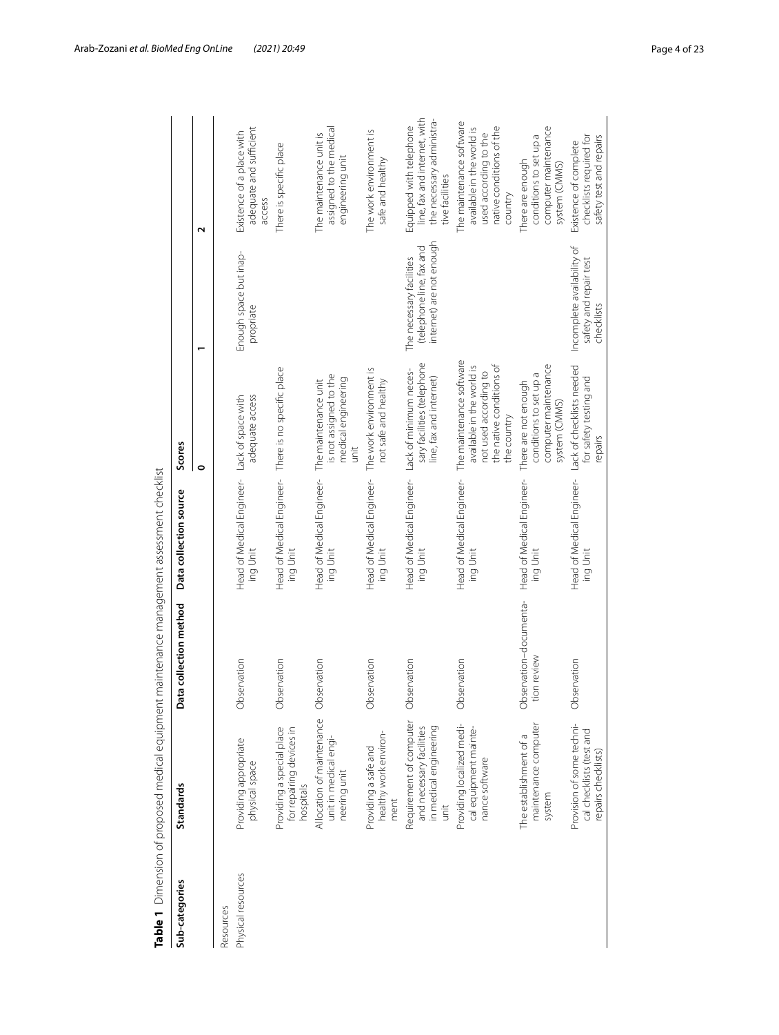|                    | Table 1 Dimension of proposed medical equipment maintenance management assessment checklist |                                       |                                                                  |                                                                                                                           |                                                                                  |                                                                                                                       |
|--------------------|---------------------------------------------------------------------------------------------|---------------------------------------|------------------------------------------------------------------|---------------------------------------------------------------------------------------------------------------------------|----------------------------------------------------------------------------------|-----------------------------------------------------------------------------------------------------------------------|
| Sub-categories     | <b>Standards</b>                                                                            | Data collection method                | Data collection source                                           | Scores                                                                                                                    |                                                                                  |                                                                                                                       |
|                    |                                                                                             |                                       |                                                                  | $\bullet$                                                                                                                 |                                                                                  | $\mathbf{\mathsf{N}}$                                                                                                 |
| Resources          |                                                                                             |                                       |                                                                  |                                                                                                                           |                                                                                  |                                                                                                                       |
| Physical resources | Providing appropriate<br>physical space                                                     | Observation                           | Head of Medical Engineer- Lack of space with<br>ing Unit         | adequate access                                                                                                           | Enough space but inap-<br>propriate                                              | adequate and sufficient<br>Existence of a place with<br>access                                                        |
|                    | Providing a special place<br>for repairing devices in<br>hospitals                          | Observation                           | Head of Medical Engineer- There is no specific place<br>ing Unit |                                                                                                                           |                                                                                  | There is specific place                                                                                               |
|                    | Allocation of maintenance<br>unit in medical engi-<br>neering unit                          | Observation                           | Head of Medical Engineer-<br>ing Unit                            | is not assigned to the<br>medical engineering<br>The maintenance unit<br>unit                                             |                                                                                  | assigned to the medical<br>The maintenance unit is<br>engineering unit                                                |
|                    | healthy work environ-<br>Providing a safe and<br>ment                                       | Observation                           | Head of Medical Engineer-<br>ing Unit                            | The work environment is<br>not safe and healthy                                                                           |                                                                                  | The work environment is<br>safe and healthy                                                                           |
|                    | Requirement of computer<br>in medical engineering<br>and necessary facilities<br>unit       | Observation                           | Head of Medical Engineer- Lack of minimum neces-<br>ing Unit     | sary facilities (telephone<br>line, fax and internet)                                                                     | internet) are not enough<br>(telephone line, fax and<br>The necessary facilities | line, fax and internet, with<br>the necessary administra-<br>Equipped with telephone<br>tive facilities               |
|                    | Providing localized medi-<br>cal equipment mainte-<br>nance software                        | Observation                           | Head of Medical Engineer-<br>ing Unit                            | The maintenance software<br>the native conditions of<br>available in the world is<br>not used according to<br>the country |                                                                                  | The maintenance software<br>native conditions of the<br>available in the world is<br>used according to the<br>country |
|                    | maintenance computer<br>The establishment of a<br>system                                    | Observation-documenta-<br>tion review | Head of Medical Engineer-<br>ing Unit                            | computer maintenance<br>conditions to set up a<br>There are not enough<br>system (CMMS)                                   |                                                                                  | computer maintenance<br>conditions to set up a<br>There are enough<br>system (CMMS)                                   |
|                    | Provision of some techni-<br>cal checklists (test and<br>repairs checklists)                | Observation                           | Head of Medical Engineer-<br>ing Unit                            | Lack of checklists needed<br>for safety testing and<br>repairs                                                            | Incomplete availability of<br>safety and repair test<br>checklists               | checklists required for<br>safety test and repairs<br>Existence of complete                                           |

<span id="page-3-0"></span>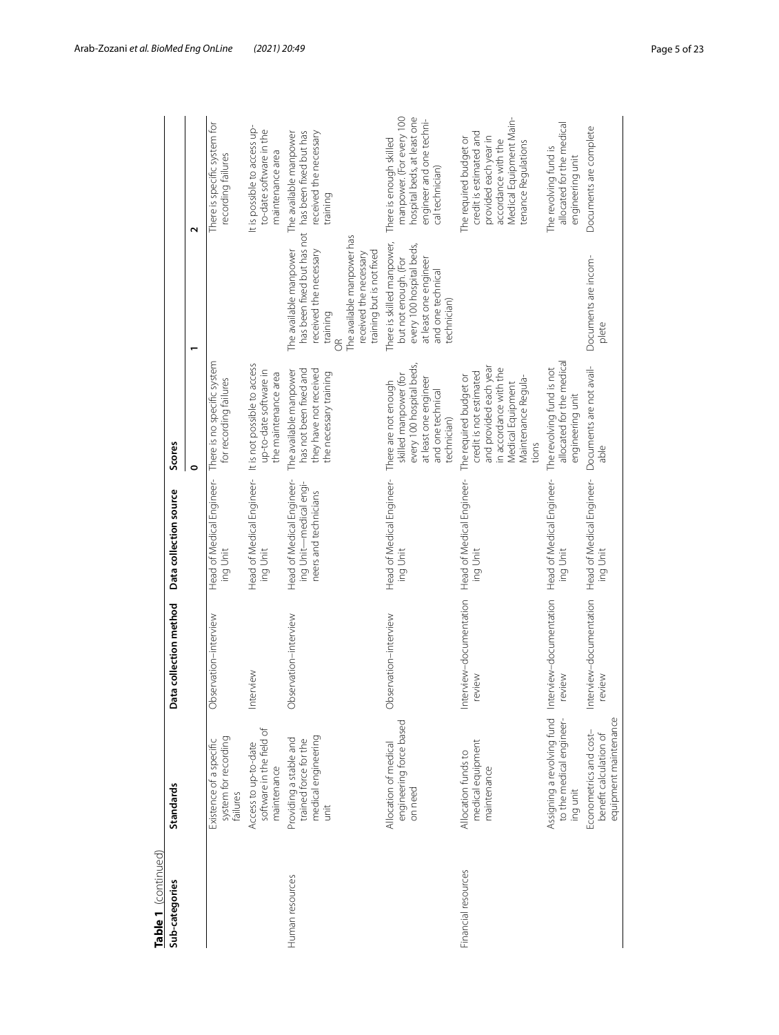| Table 1 (continued) |                                                                                |                                                              |                                                                              |                                                                                                                                                            |                                                                                                                                                                                                                                |                                                                                                                                                     |
|---------------------|--------------------------------------------------------------------------------|--------------------------------------------------------------|------------------------------------------------------------------------------|------------------------------------------------------------------------------------------------------------------------------------------------------------|--------------------------------------------------------------------------------------------------------------------------------------------------------------------------------------------------------------------------------|-----------------------------------------------------------------------------------------------------------------------------------------------------|
| Sub-categories      | <b>Standards</b>                                                               | ta collection method<br>ā                                    | Data collection source                                                       | Scores                                                                                                                                                     |                                                                                                                                                                                                                                |                                                                                                                                                     |
|                     |                                                                                |                                                              |                                                                              | 0                                                                                                                                                          |                                                                                                                                                                                                                                | $\sim$                                                                                                                                              |
|                     | system for recording<br>Existence of a specific<br>failures                    | Observation-interview                                        | Head of Medical Engineer-<br>ing Unit                                        | There is no specific system<br>for recording failures                                                                                                      |                                                                                                                                                                                                                                | There is specific system for<br>recording failures                                                                                                  |
|                     | software in the field of<br>Access to up-to-date<br>maintenance                | Interview                                                    | Head of Medical Engineer- It is not possible to access<br>ing Unit           | up-to-date software in<br>the maintenance area                                                                                                             |                                                                                                                                                                                                                                | It is possible to access up-<br>to-date software in the<br>maintenance area                                                                         |
| Human resources     | medical engineering<br>Providing a stable and<br>trained force for the<br>unit | Observation-interview                                        | Head of Medical Engineer-<br>ing Unit—medical engi-<br>neers and technicians | has not been fixed and<br>they have not received<br>The available manpower<br>the necessary training                                                       | has been fixed but has not has been fixed but has<br>The available manpower has<br>The available manpower<br>received the necessary<br>training but is not fixed<br>received the necessary<br>training<br>$\frac{1}{\sqrt{2}}$ | received the necessary<br>The available manpower<br>training                                                                                        |
|                     | engineering force based<br>Allocation of medical<br>on need                    | Observation-interview                                        | Head of Medical Engineer-<br>ing Unit                                        | every 100 hospital beds,<br>skilled manpower (for<br>at least one engineer<br>There are not enough<br>and one technical<br>technician)                     | There is skilled manpower,<br>every 100 hospital beds,<br>but not enough. (For<br>at least one engineer<br>and one technical<br>technician)                                                                                    | manpower. (For every 100<br>hospital beds, at least one<br>engineer and one techni-<br>There is enough skilled<br>cal technician)                   |
| Financial resources | medical equipment<br>Allocation funds to<br>maintenance                        | Interview-documentation<br>review                            | Head of Medical Engineer-<br>ing Unit                                        | and provided each year<br>in accordance with the<br>credit is not estimated<br>The required budget or<br>Maintenance Regula-<br>Medical Equipment<br>tions |                                                                                                                                                                                                                                | Medical Equipment Main-<br>credit is estimated and<br>provided each year in<br>The required budget or<br>accordance with the<br>tenance Regulations |
|                     | to the medical engineer-<br>ing unit                                           | Assigning a revolving fund Interview-documentation<br>review | Head of Medical Engineer-<br>ing Unit                                        | allocated for the medical<br>The revolving fund is not<br>engineering unit                                                                                 |                                                                                                                                                                                                                                | allocated for the medical<br>The revolving fund is<br>engineering unit                                                                              |
|                     | equipment maintenance<br>Econometrics and cost-<br>benefit calculation of      | Interview-documentation<br>review                            | Head of Medical Engineer-<br>ing Unit                                        | Documents are not avail-<br>able                                                                                                                           | Documents are incom-<br>plete                                                                                                                                                                                                  | Documents are complete                                                                                                                              |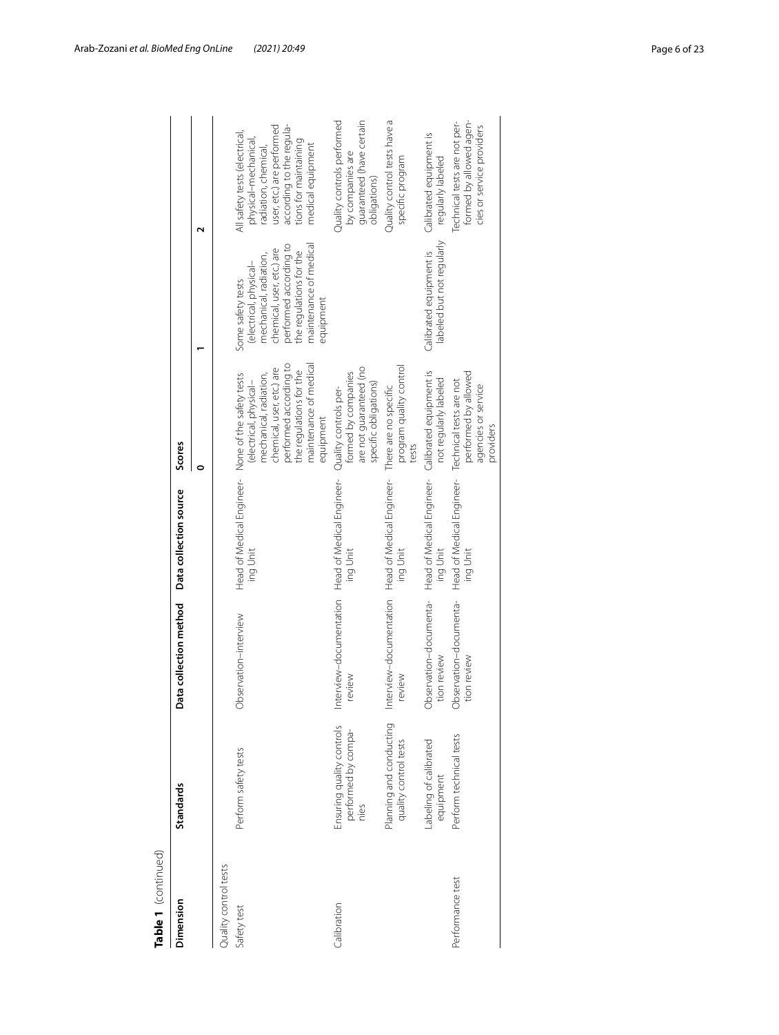| Table 1 (continued)   |                                                          |                                                             |                                                                |                                                                                                                                                                           |                                                                                                                                                                                                |                                                                                                                                                                                      |
|-----------------------|----------------------------------------------------------|-------------------------------------------------------------|----------------------------------------------------------------|---------------------------------------------------------------------------------------------------------------------------------------------------------------------------|------------------------------------------------------------------------------------------------------------------------------------------------------------------------------------------------|--------------------------------------------------------------------------------------------------------------------------------------------------------------------------------------|
| Dimension             | Standards                                                | Data collection method                                      | Data collection source                                         | Scores                                                                                                                                                                    |                                                                                                                                                                                                |                                                                                                                                                                                      |
|                       |                                                          |                                                             |                                                                |                                                                                                                                                                           |                                                                                                                                                                                                |                                                                                                                                                                                      |
| Quality control tests |                                                          |                                                             |                                                                |                                                                                                                                                                           |                                                                                                                                                                                                |                                                                                                                                                                                      |
| Safety test           | Perform safety tests                                     | Observation-interview                                       | Head of Medical Engineer- None of the safety tests<br>ing Unit | performed according to<br>maintenance of medical<br>chemical, user, etc.) are<br>the regulations for the<br>mechanical, radiation,<br>(electrical, physical-<br>equipment | performed according to<br>maintenance of medical<br>chemical, user, etc.) are<br>the regulations for the<br>mechanical, radiation,<br>(electrical, physical-<br>Some safety tests<br>equipment | user, etc.) are performed<br>according to the regula-<br>All safety tests (electrical,<br>physical-mechanical,<br>tions for maintaining<br>medical equipment<br>radiation, chemical, |
| Calibration           | Ensuring quality controls<br>performed by compa-<br>nies | Interview-documentation Head of Medical Engineer-<br>wewey  | ing Unit                                                       | are not guaranteed (no<br>formed by companies<br>specific obligations)<br>Quality controls per-                                                                           |                                                                                                                                                                                                | Quality controls performed<br>guaranteed (have certain<br>by companies are<br>obligations)                                                                                           |
|                       | Planning and conducting<br>quality control tests         | Interview-documentation Head of Medical Engineer-<br>review | ing Unit                                                       | program quality control<br>There are no specific<br>tests                                                                                                                 |                                                                                                                                                                                                | Quality control tests have a<br>specific program                                                                                                                                     |
|                       | abeling of calibrated<br>equipment                       | Observation-documenta-<br>tion review                       | Head of Medical Engineer-<br>ing Unit                          | Calibrated equipment is<br>not regularly labeled                                                                                                                          | labeled but not regularly<br>Calibrated equipment is                                                                                                                                           | Calibrated equipment is<br>regularly labeled                                                                                                                                         |
| Performance test      | Perform technical tests                                  | Observation-documenta-<br>ion review                        | Head of Medical Engineer-<br>ing Unit                          | performed by allowed<br>Technical tests are not<br>agencies or service<br>providers                                                                                       |                                                                                                                                                                                                | formed by allowed agen-<br>Technical tests are not per-<br>cies or service providers                                                                                                 |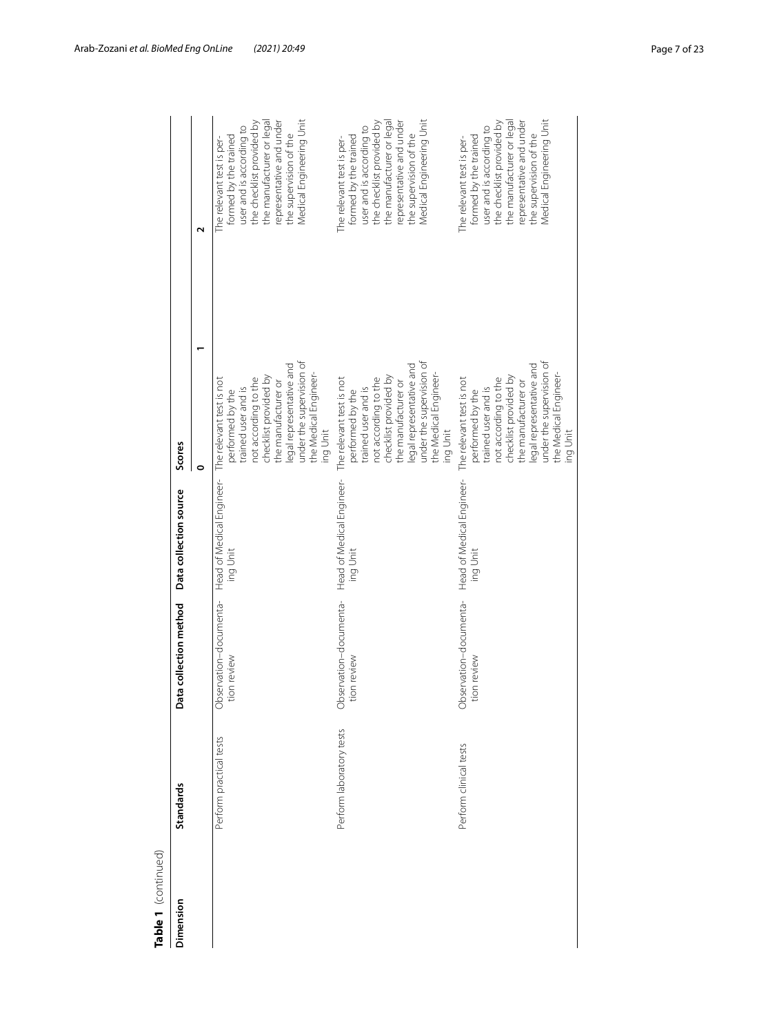| Table 1 (continued) |                          |                                      |                                                                |                                                                                                                                                                                                                                          |                                                                                                                                                                                                                            |
|---------------------|--------------------------|--------------------------------------|----------------------------------------------------------------|------------------------------------------------------------------------------------------------------------------------------------------------------------------------------------------------------------------------------------------|----------------------------------------------------------------------------------------------------------------------------------------------------------------------------------------------------------------------------|
| Dimension           | <b>Standards</b>         | Data collection method               | Data collection source                                         | Scores                                                                                                                                                                                                                                   |                                                                                                                                                                                                                            |
|                     |                          |                                      |                                                                | 0                                                                                                                                                                                                                                        | ς                                                                                                                                                                                                                          |
|                     | Perform practical tests  | Observation-documenta-<br>ion review | Head of Medical Engineer- The relevant test is not<br>ing Unit | under the supervision of<br>legal representative and<br>the Medical Engineer-<br>checklist provided by<br>not according to the<br>the manufacturer or<br>trained user and is<br>performed by the<br>ing Unit                             | Medical Engineering Unit<br>the manufacturer or legal<br>the checklist provided by<br>representative and under<br>user and is according to<br>the supervision of the<br>formed by the trained<br>The relevant test is per- |
|                     | Perform laboratory tests | Observation-documenta-<br>ion review | Head of Medical Engineer-<br>ing Unit                          | under the supervision of<br>legal representative and<br>the Medical Engineer-<br>checklist provided by<br>not according to the<br>The relevant test is not<br>the manufacturer or<br>trained user and is<br>performed by the<br>ing Unit | Medical Engineering Unit<br>the manufacturer or legal<br>representative and under<br>the checklist provided by<br>user and is according to<br>the supervision of the<br>formed by the trained<br>The relevant test is per- |
|                     | Perform clinical tests   | Observation-documenta-<br>ion review | Head of Medical Engineer-<br>ing Unit                          | under the supervision of<br>legal representative and<br>the Medical Engineer-<br>checklist provided by<br>not according to the<br>The relevant test is not<br>the manufacturer or<br>trained user and is<br>performed by the<br>ing Unit | Medical Engineering Unit<br>the manufacturer or legal<br>the checklist provided by<br>representative and under<br>user and is according to<br>the supervision of the<br>formed by the trained<br>The relevant test is per- |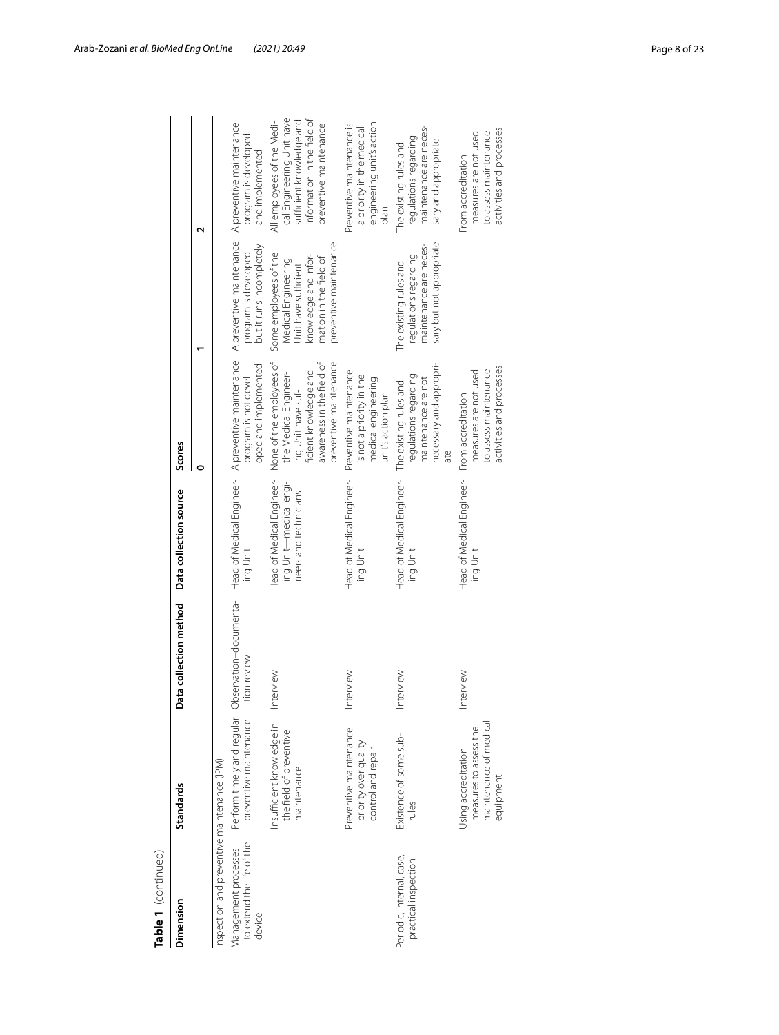| Table 1 (continued)                                         |                                                                                      |                                       |                                                                              |                                                                                                                                                         |                                                                                                                                                  |                                                                                                                                              |
|-------------------------------------------------------------|--------------------------------------------------------------------------------------|---------------------------------------|------------------------------------------------------------------------------|---------------------------------------------------------------------------------------------------------------------------------------------------------|--------------------------------------------------------------------------------------------------------------------------------------------------|----------------------------------------------------------------------------------------------------------------------------------------------|
| Dimension                                                   | Standards                                                                            | Data collection method                | Data collection source                                                       | Scores                                                                                                                                                  |                                                                                                                                                  |                                                                                                                                              |
|                                                             |                                                                                      |                                       |                                                                              | 0                                                                                                                                                       |                                                                                                                                                  | ์                                                                                                                                            |
| nspection and preventive maintenance (IPM)                  |                                                                                      |                                       |                                                                              |                                                                                                                                                         |                                                                                                                                                  |                                                                                                                                              |
| Management processes<br>to extend the life of the<br>device | Perform timely and regular<br>preventive maintenance                                 | Observation-documenta-<br>tion review | ing Unit                                                                     | Head of Medical Engineer- A preventive maintenance<br>oped and implemented<br>program is not devel-                                                     | A preventive maintenance<br>but it runs incompletely<br>program is developed                                                                     | A preventive maintenance<br>program is developed<br>and implemented                                                                          |
|                                                             | Insufficient knowledge in<br>the field of preventive<br>maintenance                  | Interview                             | Head of Medical Engineer-<br>ing Unit—medical engi-<br>neers and technicians | preventive maintenance<br>awareness in the field of<br>None of the employees of<br>ficient knowledge and<br>the Medical Engineer-<br>ing Unit have suf- | preventive maintenance<br>Some employees of the<br>knowledge and infor-<br>mation in the field of<br>Medical Engineering<br>Unit have sufficient | cal Engineering Unit have<br>information in the field of<br>sufficient knowledge and<br>All employees of the Medi-<br>preventive maintenance |
|                                                             | Preventive maintenance<br>priority over quality<br>control and repair                | Interview                             | Head of Medical Engineer-<br>ing Unit                                        | Preventive maintenance<br>is not a priority in the<br>medical engineering<br>unit's action plan                                                         |                                                                                                                                                  | engineering unit's action<br>Preventive maintenance is<br>a priority in the medical<br>plan                                                  |
| Periodic, internal, case,<br>practical inspection           | Existence of some sub-<br>rules                                                      | Interview                             | Head of Medical Engineer-<br>ing Unit                                        | necessary and appropri-<br>regulations regarding<br>maintenance are not<br>The existing rules and<br>ate                                                | sary but not appropriate<br>maintenance are neces-<br>regulations regarding<br>The existing rules and                                            | maintenance are neces-<br>regulations regarding<br>sary and appropriate<br>The existing rules and                                            |
|                                                             | maintenance of medical<br>measures to assess the<br>Using accreditation<br>equipment | Interview                             | Head of Medical Engineer-<br>ing Unit                                        | activities and processes<br>measures are not used<br>to assess maintenance<br>From accreditation                                                        |                                                                                                                                                  | activities and processes<br>to assess maintenance<br>measures are not used<br>From accreditation                                             |
|                                                             |                                                                                      |                                       |                                                                              |                                                                                                                                                         |                                                                                                                                                  |                                                                                                                                              |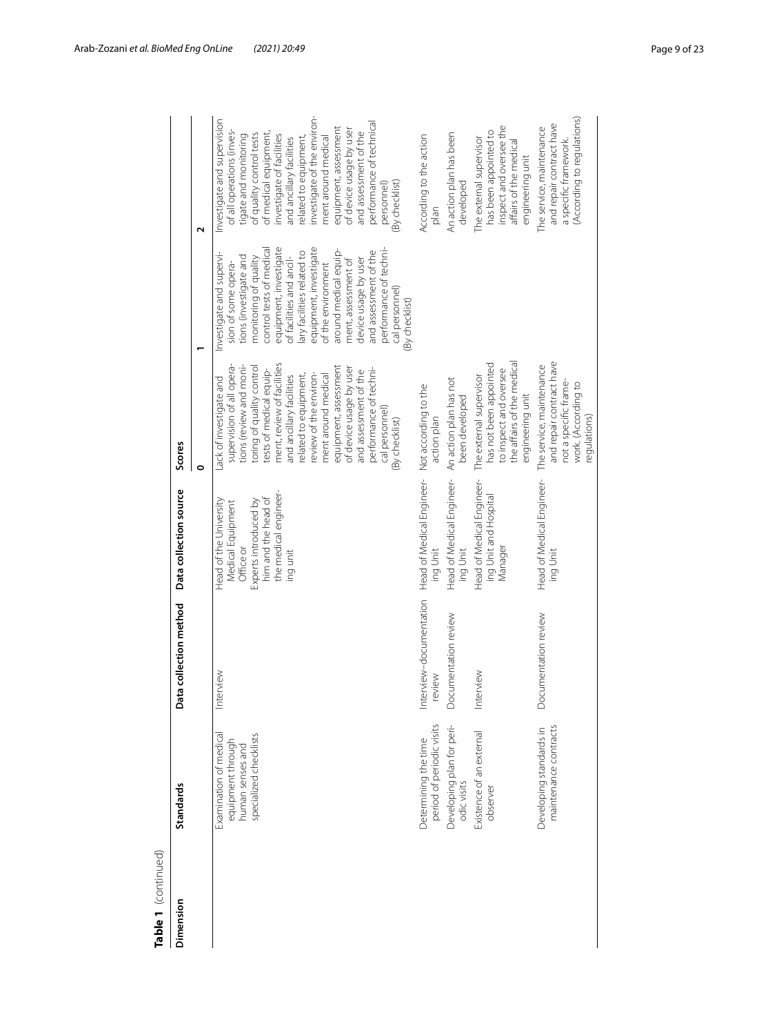| Dimension | <b>Standards</b>                                                                          | Data collection method            | Data collection source                                                                                                                        | Scores                                                                                                                                                                                                                                                                                                                                                                                                                |                                                                                                                                                                                                                                                                                                                                                                                                                                   |                                                                                                                                                                                                                                                                                                                                                                                                                         |
|-----------|-------------------------------------------------------------------------------------------|-----------------------------------|-----------------------------------------------------------------------------------------------------------------------------------------------|-----------------------------------------------------------------------------------------------------------------------------------------------------------------------------------------------------------------------------------------------------------------------------------------------------------------------------------------------------------------------------------------------------------------------|-----------------------------------------------------------------------------------------------------------------------------------------------------------------------------------------------------------------------------------------------------------------------------------------------------------------------------------------------------------------------------------------------------------------------------------|-------------------------------------------------------------------------------------------------------------------------------------------------------------------------------------------------------------------------------------------------------------------------------------------------------------------------------------------------------------------------------------------------------------------------|
|           |                                                                                           |                                   |                                                                                                                                               | 0                                                                                                                                                                                                                                                                                                                                                                                                                     |                                                                                                                                                                                                                                                                                                                                                                                                                                   | Z                                                                                                                                                                                                                                                                                                                                                                                                                       |
|           | specialized checklists<br>Examination of medical<br>equipment through<br>human senses and | Interview                         | the medical engineer-<br>him and the head of<br>Experts introduced by<br>Head of the University<br>Medical Equipment<br>Office or<br>ing unit | ment, review of facilities<br>equipment, assessment<br>tions (review and moni-<br>supervision of all opera-<br>toring of quality control<br>of device usage by user<br>performance of techni-<br>tests of medical equip-<br>and assessment of the<br>review of the environ-<br>related to equipment,<br>and ancillary facilities<br>ment around medical<br>ack of investigate and<br>cal personnel)<br>(By checklist) | control tests of medical<br>equipment, investigate<br>equipment, investigate<br>performance of techni-<br>around medical equip-<br>and assessment of the<br>lary facilities related to<br>Investigate and supervi-<br>tions (investigate and<br>monitoring of quality<br>of facilities and ancil-<br>device usage by user<br>ment, assessment of<br>of the environment<br>sion of some opera-<br>cal personnel)<br>(By checklist) | investigate of the environ-<br>Investigate and supervision<br>performance of technical<br>equipment, assessment<br>of device usage by user<br>of all operations (inves-<br>of medical equipment,<br>and assessment of the<br>of quality control tests<br>investigate of facilities<br>tigate and monitoring<br>related to equipment,<br>ment around medical<br>and ancillary facilities<br>(By checklist)<br>personnel) |
|           | Determining the time<br>period of periodic visits                                         | Interview-documentation<br>review | Head of Medical Engineer-<br>ing Unit                                                                                                         | Not according to the<br>action plan                                                                                                                                                                                                                                                                                                                                                                                   |                                                                                                                                                                                                                                                                                                                                                                                                                                   | According to the action<br>plan                                                                                                                                                                                                                                                                                                                                                                                         |
|           | Developing plan for peri-<br>odic visits                                                  | Documentation review              | Head of Medical Engineer-<br>ing Unit                                                                                                         | An action plan has not<br>been developed                                                                                                                                                                                                                                                                                                                                                                              |                                                                                                                                                                                                                                                                                                                                                                                                                                   | An action plan has been<br>developed                                                                                                                                                                                                                                                                                                                                                                                    |
|           | Existence of an external<br>observer                                                      | Interview                         | Head of Medical Engineer-<br>ing Unit and Hospital<br>Manager                                                                                 | the affairs of the medical<br>has not been appointed<br>to inspect and oversee<br>The external supervisor<br>engineering unit                                                                                                                                                                                                                                                                                         |                                                                                                                                                                                                                                                                                                                                                                                                                                   | inspect and oversee the<br>has been appointed to<br>The external supervisor<br>affairs of the medical<br>engineering unit                                                                                                                                                                                                                                                                                               |
|           | maintenance contracts<br>Developing standards in                                          | Documentation review              | Head of Medical Engineer-<br>ing Unit                                                                                                         | and repair contract have<br>The service, maintenance<br>not a specific frame-<br>work. (According to<br>egulations)                                                                                                                                                                                                                                                                                                   |                                                                                                                                                                                                                                                                                                                                                                                                                                   | (According to regulations)<br>and repair contract have<br>The service, maintenance<br>a specific framework.                                                                                                                                                                                                                                                                                                             |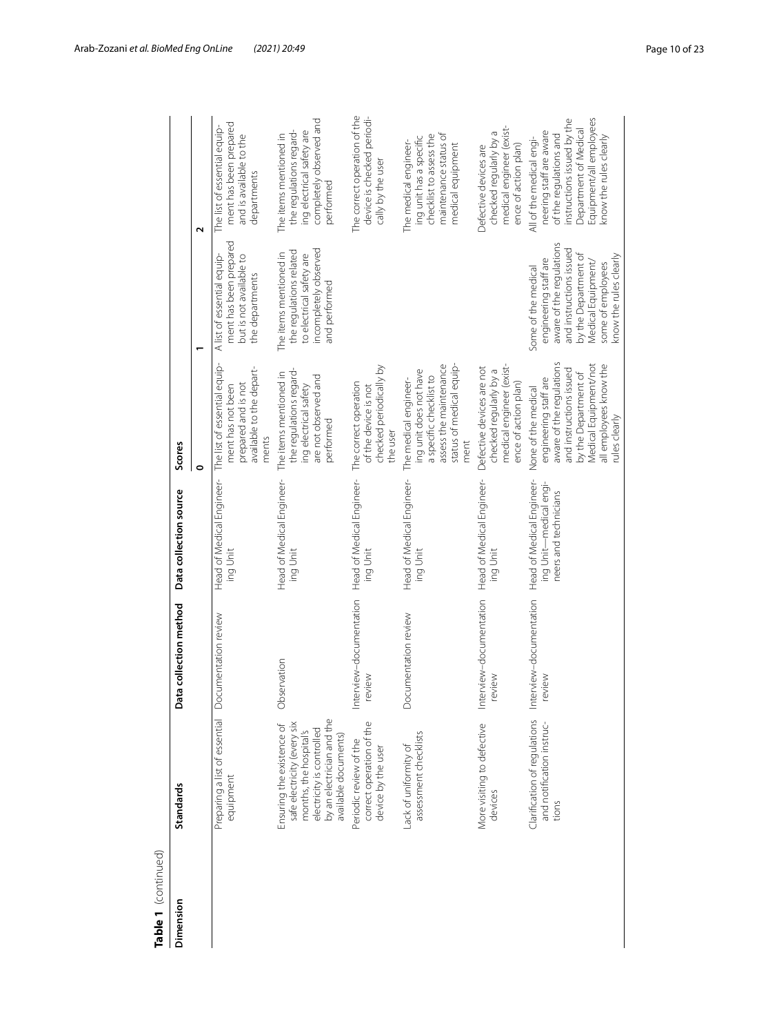| Table 1 (continued)<br>Dimension | <b>Standards</b>                                                                                                                                                     | Data collection method           | Data collection source                                                       | Scores                                                                                                                                                                                          |                                                                                                                                                                                                  |                                                                                                                                                                                           |
|----------------------------------|----------------------------------------------------------------------------------------------------------------------------------------------------------------------|----------------------------------|------------------------------------------------------------------------------|-------------------------------------------------------------------------------------------------------------------------------------------------------------------------------------------------|--------------------------------------------------------------------------------------------------------------------------------------------------------------------------------------------------|-------------------------------------------------------------------------------------------------------------------------------------------------------------------------------------------|
|                                  |                                                                                                                                                                      |                                  |                                                                              | o                                                                                                                                                                                               |                                                                                                                                                                                                  | $\sim$                                                                                                                                                                                    |
|                                  | Preparing a list of essential<br>equipment                                                                                                                           | Documentation review             | Head of Medical Engineer-<br>ing Unit                                        | The list of essential equip-<br>available to the depart-<br>prepared and is not<br>ment has not been<br>ments                                                                                   | ment has been prepared<br>A list of essential equip-<br>but is not available to<br>the departments                                                                                               | ment has been prepared<br>The list of essential equip-<br>and is available to the<br>departments                                                                                          |
|                                  | by an electrician and the<br>safe electricity (every six<br>Ensuring the existence of<br>electricity is controlled<br>months, the hospital's<br>available documents) | Observation                      | Head of Medical Engineer-<br>ing Unit                                        | the regulations regard-<br>The items mentioned in<br>are not observed and<br>ing electrical safety<br>performed                                                                                 | incompletely observed<br>the regulations related<br>The items mentioned in<br>to electrical safety are<br>and performed                                                                          | completely observed and<br>the regulations regard-<br>ing electrical safety are<br>The items mentioned in<br>performed                                                                    |
|                                  | correct operation of the<br>Periodic review of the<br>device by the user                                                                                             | Interview-documentation<br>wewe  | Head of Medical Engineer-<br>ing Unit                                        | checked periodically by<br>The correct operation<br>of the device is not<br>the user                                                                                                            |                                                                                                                                                                                                  | The correct operation of the<br>device is checked periodi-<br>cally by the user                                                                                                           |
|                                  | assessment checklists<br>Lack of uniformity of                                                                                                                       | Documentation review             | Head of Medical Engineer-<br>ing Unit                                        | assess the maintenance<br>status of medical equip-<br>ing unit does not have<br>a specific checklist to<br>The medical engineer-<br>ment                                                        |                                                                                                                                                                                                  | maintenance status of<br>checklist to assess the<br>ing unit has a specific<br>The medical engineer-<br>medical equipment                                                                 |
|                                  | More visiting to defective<br>devices                                                                                                                                | Interview-documentation<br>wewey | Head of Medical Engineer-<br>ing Unit                                        | medical engineer (exist-<br>Defective devices are not<br>checked regularly by a<br>ence of action plan)                                                                                         |                                                                                                                                                                                                  | medical engineer (exist-<br>checked regularly by a<br>ence of action plan)<br>Defective devices are                                                                                       |
|                                  | Clarification of regulations<br>and notification instruc-<br>tions                                                                                                   | Interview-documentation<br>eview | Head of Medical Engineer-<br>ing Unit-medical engi-<br>neers and technicians | aware of the regulations<br>Medical Equipment/not<br>all employees know the<br>and instructions issued<br>by the Department of<br>engineering staff are<br>None of the medical<br>rules clearly | aware of the regulations<br>and instructions issued<br>by the Department of<br>know the rules clearly<br>engineering staff are<br>Medical Equipment/<br>some of employees<br>Some of the medical | Equipment/all employees<br>instructions issued by the<br>Department of Medical<br>neering staff are aware<br>of the regulations and<br>know the rules clearly<br>All of the medical engi- |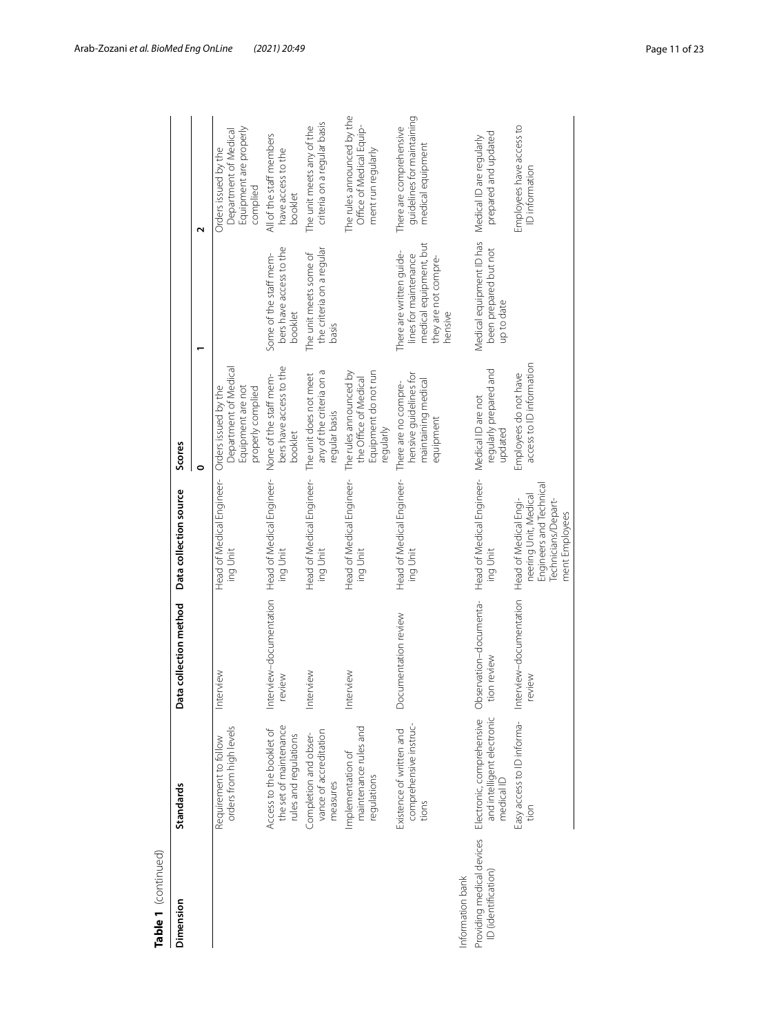| Table 1 (continued) |                                                                                                 |                                       |                                                                                                                    |                                                                                         |                                                                                                                |                                                                                     |
|---------------------|-------------------------------------------------------------------------------------------------|---------------------------------------|--------------------------------------------------------------------------------------------------------------------|-----------------------------------------------------------------------------------------|----------------------------------------------------------------------------------------------------------------|-------------------------------------------------------------------------------------|
| Dimension           | <b>Standards</b>                                                                                | Data collection method                | Data collection source                                                                                             | Scores                                                                                  |                                                                                                                |                                                                                     |
|                     |                                                                                                 |                                       |                                                                                                                    | o                                                                                       |                                                                                                                | $\mathbf{\tilde{c}}$                                                                |
|                     | orders from high levels<br>Requirement to follow                                                | Interview                             | Head of Medical Engineer-<br>ing Unit                                                                              | Department of Medical<br>Equipment are not<br>Orders issued by the<br>properly complied |                                                                                                                | Equipment are properly<br>Department of Medical<br>Orders issued by the<br>complied |
|                     | the set of maintenance<br>Access to the booklet of<br>rules and regulations                     | Interview-documentation<br>review     | Head of Medical Engineer-<br>ing Unit                                                                              | bers have access to the<br>None of the staff mem-<br>booklet                            | bers have access to the<br>Some of the staff mem-<br>booklet                                                   | All of the staff members<br>have access to the<br>booklet                           |
|                     | vance of accreditation<br>Completion and obser-<br>measures                                     | Interview                             | Head of Medical Engineer-<br>ing Unit                                                                              | any of the criteria on a<br>The unit does not meet<br>regular basis                     | the criteria on a regular<br>The unit meets some of<br>basis                                                   | criteria on a regular basis<br>The unit meets any of the                            |
|                     | maintenance rules and<br>Implementation of<br>regulations                                       | Interview                             | Head of Medical Engineer-<br>ing Unit                                                                              | Equipment do not run<br>The rules announced by<br>the Office of Medical<br>regularly    |                                                                                                                | The rules announced by the<br>Office of Medical Equip-<br>ment run regularly        |
|                     | comprehensive instruc-<br>Existence of written and<br>tions                                     | Documentation review                  | Head of Medical Engineer-<br>ing Unit                                                                              | hensive guidelines for<br>maintaining medical<br>There are no compre-<br>equipment      | medical equipment, but<br>There are written guide-<br>lines for maintenance<br>they are not compre-<br>hensive | guidelines for maintaining<br>medical equipment<br>There are comprehensive          |
| Information bank    |                                                                                                 |                                       |                                                                                                                    |                                                                                         |                                                                                                                |                                                                                     |
| ID (identification) | and intelligent electronic<br>medical ID<br>Providing medical devices Electronic, comprehensive | Observation-documenta-<br>tion review | Head of Medical Engineer-<br>ing Unit                                                                              | regularly prepared and<br>Medical ID are not<br>updated                                 | Medical equipment ID has<br>been prepared but not<br>up to date                                                | prepared and updated<br>Medical ID are regularly                                    |
|                     | Easy access to ID informa-<br>tion                                                              | Interview-documentation<br>review     | Engineers and Technical<br>neering Unit, Medical<br>Head of Medical Engi-<br>Technicians/Depart-<br>ment Employees | access to ID information<br>Employees do not have                                       |                                                                                                                | Employees have access to<br>ID information                                          |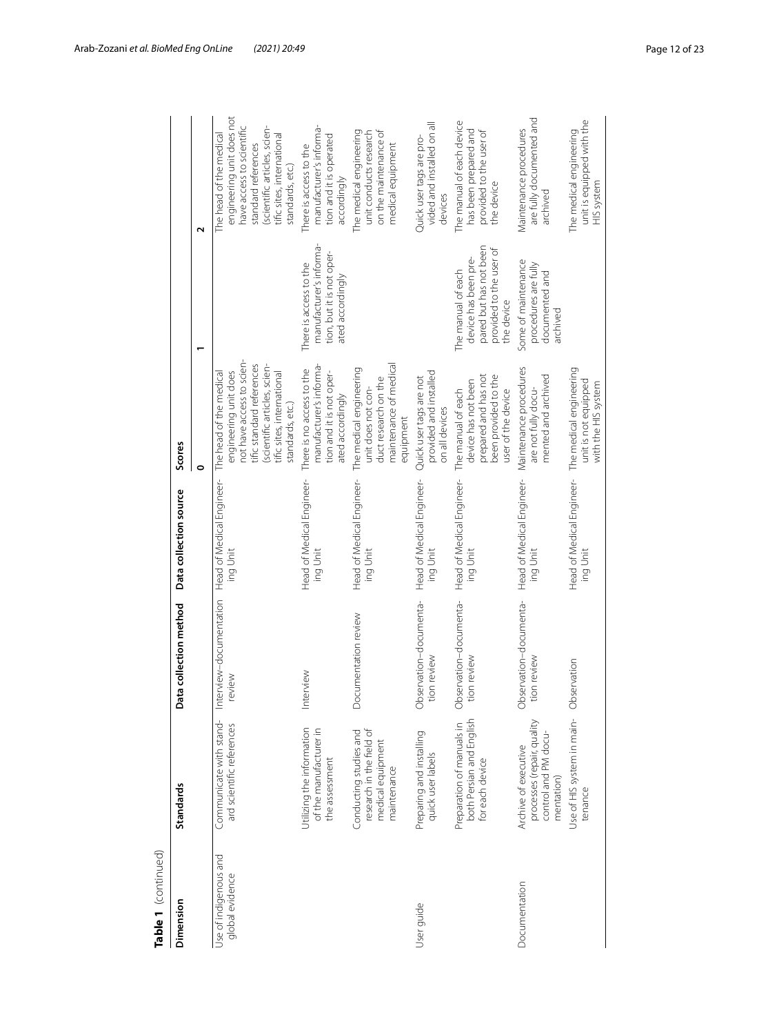| Table 1 (continued)                      |                                                                                          |                                       |                                                               |                                                                                                                                                                                              |                                                                                                               |                                                                                                                                                                                            |
|------------------------------------------|------------------------------------------------------------------------------------------|---------------------------------------|---------------------------------------------------------------|----------------------------------------------------------------------------------------------------------------------------------------------------------------------------------------------|---------------------------------------------------------------------------------------------------------------|--------------------------------------------------------------------------------------------------------------------------------------------------------------------------------------------|
| Dimension                                | <b>Standards</b>                                                                         | Data collection method                | Data collection source                                        | Scores                                                                                                                                                                                       |                                                                                                               |                                                                                                                                                                                            |
|                                          |                                                                                          |                                       |                                                               | 0                                                                                                                                                                                            |                                                                                                               | Z                                                                                                                                                                                          |
| Use of indigenous and<br>global evidence | Communicate with stand-<br>ard scientific references                                     | Interview-documentation<br>review     | Head of Medical Engineer-<br>ing Unit                         | not have access to scien-<br>tific standard references<br>(scientific articles, scien-<br>engineering unit does<br>The head of the medical<br>tific sites, international<br>standards, etc.) |                                                                                                               | engineering unit does not<br>have access to scientific<br>(scientific articles, scien-<br>The head of the medical<br>tific sites, international<br>standard references<br>standards, etc.) |
|                                          | Utilizing the information<br>of the manufacturer in<br>the assessment                    | Interview                             | Head of Medical Engineer-<br>ing Unit                         | manufacturer's informa-<br>There is no access to the<br>tion and it is not oper-<br>ated accordingly                                                                                         | manufacturer's informa-<br>tion, but it is not oper-<br>There is access to the<br>ated accordingly            | manufacturer's informa-<br>tion and it is operated<br>There is access to the<br>accordingly                                                                                                |
|                                          | research in the field of<br>Conducting studies and<br>medical equipment<br>maintenance   | Documentation review                  | Head of Medical Engineer-<br>ing Unit                         | maintenance of medical<br>The medical engineering<br>duct research on the<br>unit does not con-<br>equipment                                                                                 |                                                                                                               | The medical engineering<br>on the maintenance of<br>unit conducts research<br>medical equipment                                                                                            |
| User quide                               | Preparing and installing<br>quick user labels                                            | Observation-documenta-<br>tion review | Head of Medical Engineer-<br>ing Unit                         | provided and installed<br>Quick user tags are not<br>on all devices                                                                                                                          |                                                                                                               | vided and installed on all<br>Quick user tags are pro-<br>devices                                                                                                                          |
|                                          | both Persian and English<br>Preparation of manuals in<br>for each device                 | Observation-documenta-<br>tion review | Head of Medical Engineer-<br>ing Unit                         | prepared and has not<br>been provided to the<br>device has not been<br>user of the device<br>The manual of each                                                                              | pared but has not been<br>provided to the user of<br>device has been pre-<br>The manual of each<br>the device | The manual of each device<br>has been prepared and<br>provided to the user of<br>the device                                                                                                |
| Documentation                            | processes (repair, quality<br>control and PM docu-<br>Archive of executive<br>mentation) | Observation-documenta-<br>tion review | Head of Medical Engineer-<br>ing Unit                         | Maintenance procedures<br>mented and archived<br>are not fully docu-                                                                                                                         | Some of maintenance<br>procedures are fully<br>documented and<br>archived                                     | are fully documented and<br>Vlaintenance procedures<br>archived                                                                                                                            |
|                                          | Use of HIS system in main- Observation<br>tenance                                        |                                       | Head of Medical Engineer- The medical engineering<br>ing Unit | unit is not equipped<br>with the HIS system                                                                                                                                                  |                                                                                                               | unit is equipped with the<br>The medical engineering<br>HIS system                                                                                                                         |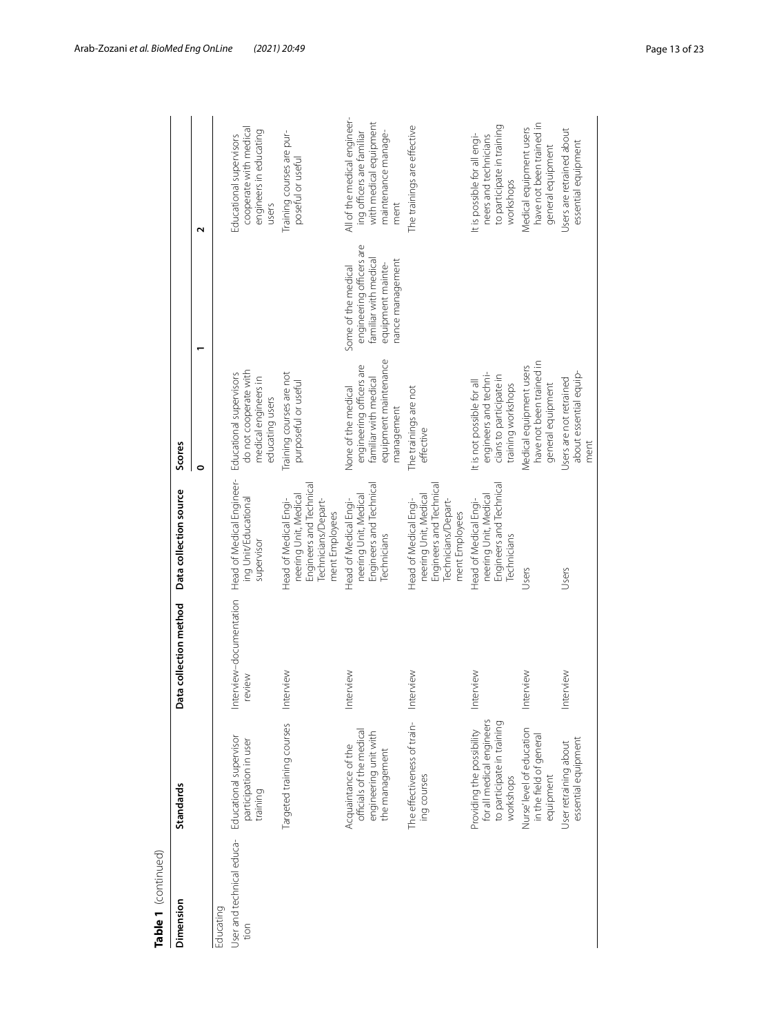| Table 1 (continued)               |                                                                                                   |                                 |                                                                                                                    |                                                                                                                 |                                                                                                                   |                                                                                                                    |
|-----------------------------------|---------------------------------------------------------------------------------------------------|---------------------------------|--------------------------------------------------------------------------------------------------------------------|-----------------------------------------------------------------------------------------------------------------|-------------------------------------------------------------------------------------------------------------------|--------------------------------------------------------------------------------------------------------------------|
| Dimension                         | <b>Standards</b>                                                                                  | Data collection method          | Data collection source                                                                                             | Scores                                                                                                          |                                                                                                                   |                                                                                                                    |
|                                   |                                                                                                   |                                 |                                                                                                                    | $\circ$                                                                                                         |                                                                                                                   | Z                                                                                                                  |
| Educating                         |                                                                                                   |                                 |                                                                                                                    |                                                                                                                 |                                                                                                                   |                                                                                                                    |
| User and technical educa-<br>tion | Educational supervisor<br>participation in user<br>training                                       | Interview-documentation<br>wewe | Head of Medical Engineer-<br>ing Unit/Educational<br>supervisor                                                    | do not cooperate with<br>Educational supervisors<br>medical engineers in<br>educating users                     |                                                                                                                   | cooperate with medical<br>engineers in educating<br>Educational supervisors<br>users                               |
|                                   | Targeted training courses                                                                         | Interview                       | Engineers and Technical<br>neering Unit, Medical<br>Technicians/Depart-<br>Head of Medical Engi-<br>ment Employees | Training courses are not<br>purposeful or useful                                                                |                                                                                                                   | Training courses are pur-<br>poseful or useful                                                                     |
|                                   | officials of the medical<br>engineering unit with<br>Acquaintance of the<br>the management        | Interview                       | Engineers and Technical<br>neering Unit, Medical<br>Head of Medical Engi-<br>Technicians                           | equipment maintenance<br>engineering officers are<br>familiar with medical<br>None of the medical<br>management | engineering officers are<br>familiar with medical<br>nance management<br>equipment mainte-<br>Some of the medical | All of the medical engineer-<br>with medical equipment<br>maintenance manage-<br>ing officers are familiar<br>ment |
|                                   | The effectiveness of train-<br>ing courses                                                        | Interview                       | Engineers and Technical<br>neering Unit, Medical<br>Technicians/Depart-<br>Head of Medical Engi-<br>ment Employees | The trainings are not<br>effective                                                                              |                                                                                                                   | The trainings are effective                                                                                        |
|                                   | for all medical engineers<br>to participate in training<br>Providing the possibility<br>workshops | Interview                       | Engineers and Technical<br>neering Unit, Medical<br>Head of Medical Engi-<br>Technicians                           | engineers and techni-<br>cians to participate in<br>It is not possible for all<br>training workshops            |                                                                                                                   | to participate in training<br>It is possible for all engi-<br>neers and technicians<br>workshops                   |
|                                   | Nurse'level of education<br>in the field of general<br>equipment                                  | erview<br>$\overline{\Xi}$      | Users                                                                                                              | have not been trained in<br>Medical equipment users<br>general equipment                                        |                                                                                                                   | have not been trained in<br>Medical equipment users<br>general equipment                                           |
|                                   | essential equipment<br>User retraining about                                                      | Interview                       | Users                                                                                                              | about essential equip-<br>Users are not retrained<br>ment                                                       |                                                                                                                   | Users are retrained about<br>essential equipment                                                                   |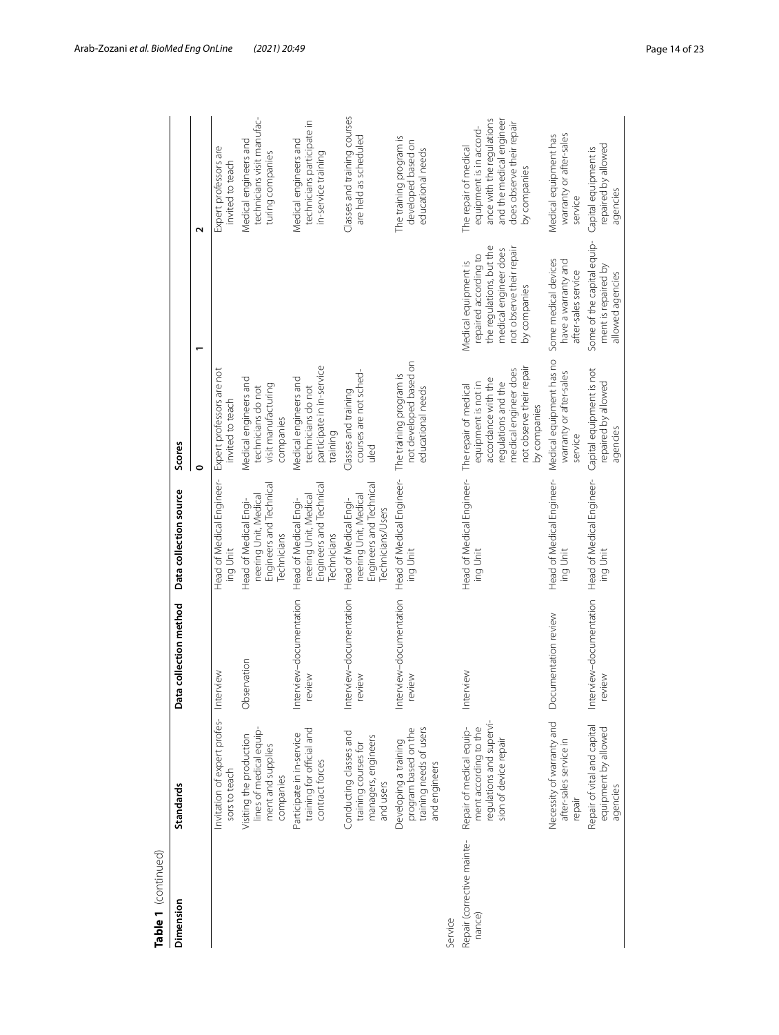| Table 1 (continued)                  |                                                                                                        |                                   |                                                                                                |                                                                                                                                                                 |                                                                                                                                                |                                                                                                                                                        |
|--------------------------------------|--------------------------------------------------------------------------------------------------------|-----------------------------------|------------------------------------------------------------------------------------------------|-----------------------------------------------------------------------------------------------------------------------------------------------------------------|------------------------------------------------------------------------------------------------------------------------------------------------|--------------------------------------------------------------------------------------------------------------------------------------------------------|
| Dimension                            | Standards                                                                                              | Data collection method            | Data collection source                                                                         | Scores                                                                                                                                                          |                                                                                                                                                |                                                                                                                                                        |
|                                      |                                                                                                        |                                   |                                                                                                | 0                                                                                                                                                               |                                                                                                                                                | $\mathbf{\Omega}$                                                                                                                                      |
|                                      | Invitation of expert profes- Interview<br>sors to teach                                                |                                   | Head of Medical Engineer-<br>ing Unit                                                          | Expert professors are not<br>invited to teach                                                                                                                   |                                                                                                                                                | Expert professors are<br>invited to teach                                                                                                              |
|                                      | lines of medical equip-<br>Visiting the production<br>ment and supplies<br>companies                   | Observation                       | Engineers and Technical<br>neering Unit, Medical<br>Head of Medical Engi-<br>Technicians       | Medical engineers and<br>visit manufacturing<br>technicians do not<br>companies                                                                                 |                                                                                                                                                | technicians visit manufac-<br>Medical engineers and<br>turing companies                                                                                |
|                                      | training for official and<br>Participate in in-service<br>contract forces                              | Interview-documentation<br>review | Engineers and Technical<br>neering Unit, Medical<br>Head of Medical Engi-<br>Technicians       | participate in in-service<br>Medical engineers and<br>technicians do not<br>training                                                                            |                                                                                                                                                | technicians participate in<br>Medical engineers and<br>in-service training                                                                             |
|                                      | Conducting classes and<br>managers, engineers<br>training courses for<br>and users                     | Interview-documentation<br>review | Engineers and Technical<br>neering Unit, Medical<br>Head of Medical Engi-<br>Technicians/Users | courses are not sched-<br>Classes and training<br>uled                                                                                                          |                                                                                                                                                | Classes and training courses<br>are held as scheduled                                                                                                  |
|                                      | training needs of users<br>program based on the<br>Developing a training<br>and engineers              | Interview-documentation<br>review | Head of Medical Engineer-<br>ing Unit                                                          | not developed based on<br>The training program is<br>educational needs                                                                                          |                                                                                                                                                | The training program is<br>developed based on<br>educational needs                                                                                     |
| Service                              |                                                                                                        |                                   |                                                                                                |                                                                                                                                                                 |                                                                                                                                                |                                                                                                                                                        |
| Repair (corrective mainte-<br>nance) | regulations and supervi-<br>Repair of medical equip-<br>ment according to the<br>sion of device repair | Interview                         | Head of Medical Engineer-<br>ing Unit                                                          | not observe their repair<br>medical engineer does<br>accordance with the<br>requlations and the<br>equipment is not in<br>The repair of medical<br>by companies | the regulations, but the<br>not observe their repair<br>medical engineer does<br>repaired according to<br>Medical equipment is<br>by companies | ance with the regulations<br>and the medical engineer<br>does observe their repair<br>equipment is in accord-<br>The repair of medical<br>by companies |
|                                      | Necessity of warranty and<br>after-sales service in<br>repair                                          | Documentation review              | Head of Medical Engineer-<br>ing Unit                                                          | Medical equipment has no<br>warranty or after-sales<br>service                                                                                                  | Some medical devices<br>have a warranty and<br>after-sales service                                                                             | warranty or after-sales<br>Medical equipment has<br>service                                                                                            |
|                                      | Repair of vital and capital<br>equipment by allowed<br>agencies                                        | Interview-documentation<br>review | Head of Medical Engineer-<br>ing Unit                                                          | Capital equipment is not<br>repaired by allowed<br>agencies                                                                                                     | Some of the capital equip-<br>ment is repaired by<br>allowed agencies                                                                          | repaired by allowed<br>Capital equipment is<br>agencies                                                                                                |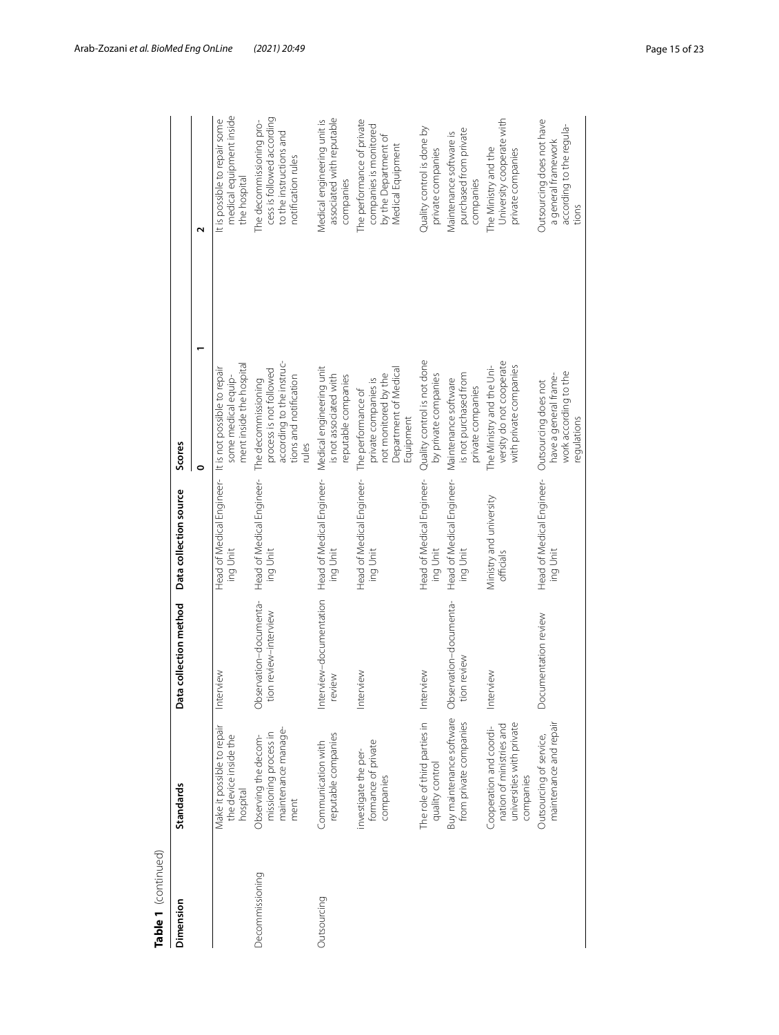| Table 1 (continued)<br>Dimension | <b>Standards</b>                                                                              | Data collection method                          | Data collection source                | Scores                                                                                                         |                                                                                                         |
|----------------------------------|-----------------------------------------------------------------------------------------------|-------------------------------------------------|---------------------------------------|----------------------------------------------------------------------------------------------------------------|---------------------------------------------------------------------------------------------------------|
|                                  |                                                                                               |                                                 |                                       | $\circ$                                                                                                        | $\mathbf{\tilde{c}}$                                                                                    |
|                                  | Make it possible to repair<br>the device inside the<br>hospital                               | Interview                                       | Head of Medical Engineer-<br>ing Unit | ment inside the hospital<br>It is not possible to repair<br>some medical equip-                                | medical equipment inside<br>It is possible to repair some<br>the hospital                               |
| Decommissioning                  | maintenance manage-<br>missioning process in<br>Observing the decom-<br>ment                  | Observation-documenta-<br>tion review-interview | Head of Medical Engineer-<br>ing Unit | according to the instruc-<br>process is not followed<br>tions and notification<br>The decommissioning<br>rules | cess is followed according<br>The decommissioning pro-<br>to the instructions and<br>notification rules |
| Outsourcing                      | reputable companies<br>Communication with                                                     | Interview-documentation<br>review               | Head of Medical Engineer-<br>ing Unit | Medical engineering unit<br>is not associated with<br>reputable companies                                      | associated with reputable<br>Medical engineering unit is<br>companies                                   |
|                                  | formance of private<br>investigate the per-<br>companies                                      | Interview                                       | Head of Medical Engineer-<br>ing Unit | Department of Medical<br>not monitored by the<br>private companies is<br>The performance of<br>Equipment       | The performance of private<br>companies is monitored<br>by the Department of<br>Medical Equipment       |
|                                  | The role of third parties in<br>quality control                                               | Interview                                       | Head of Medical Engineer-<br>ing Unit | Quality control is not done<br>by private companies                                                            | Quality control is done by<br>private companies                                                         |
|                                  | Buy maintenance software<br>from private companies                                            | Observation-documenta-<br>tion review           | Head of Medical Engineer-<br>ing Unit | is not purchased from<br>Maintenance software<br>private companies                                             | purchased from private<br>Maintenance software is<br>companies                                          |
|                                  | universities with private<br>nation of ministries and<br>Cooperation and coordi-<br>companies | Interview                                       | Ministry and university<br>officials  | versity do not cooperate<br>The Ministry and the Uni-<br>with private companies                                | University cooperate with<br>The Ministry and the<br>private companies                                  |
|                                  | maintenance and repair<br>Outsourcing of service,                                             | Documentation review                            | Head of Medical Engineer-<br>ing Unit | work according to the<br>have a general frame-<br>Outsourcing does not<br>regulations                          | Outsourcing does not have<br>according to the regula-<br>a general framework<br>tions                   |
|                                  |                                                                                               |                                                 |                                       |                                                                                                                |                                                                                                         |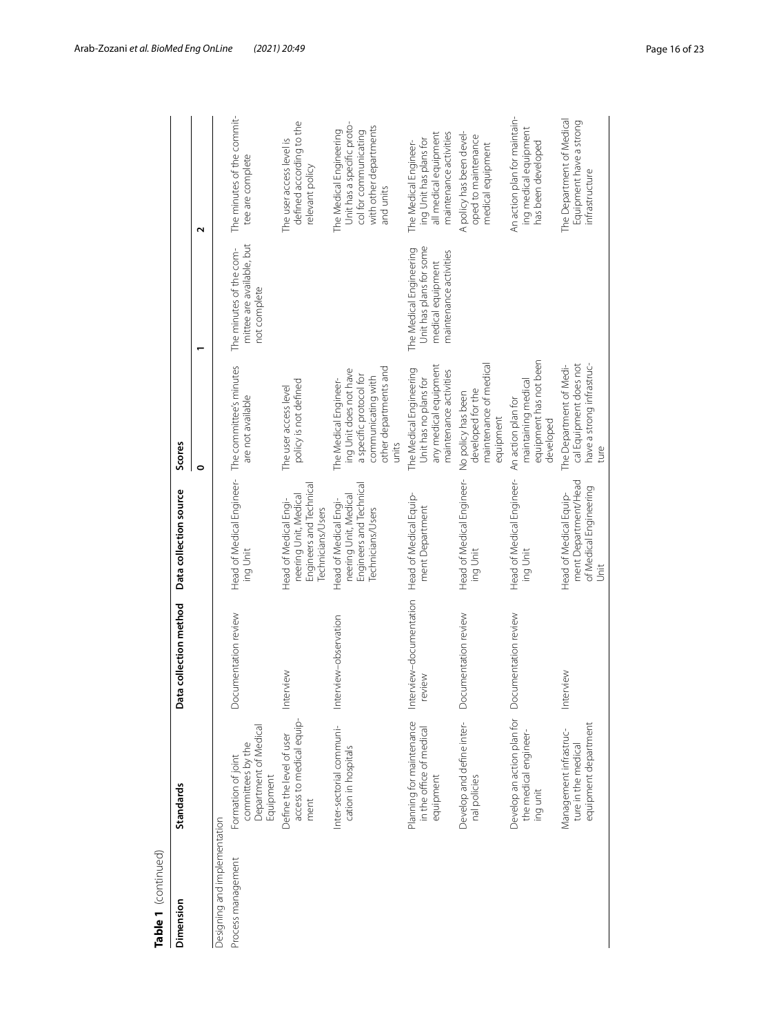| Table 1 (continued)          |                                                                               |                                  |                                                                                                |                                                                                                                                    |                                                                                                   |                                                                                                                       |
|------------------------------|-------------------------------------------------------------------------------|----------------------------------|------------------------------------------------------------------------------------------------|------------------------------------------------------------------------------------------------------------------------------------|---------------------------------------------------------------------------------------------------|-----------------------------------------------------------------------------------------------------------------------|
| Dimension                    | Standards                                                                     | Data collection method           | Data collection source                                                                         | Scores                                                                                                                             |                                                                                                   |                                                                                                                       |
|                              |                                                                               |                                  |                                                                                                | $\bullet$                                                                                                                          |                                                                                                   | $\mathbf{\Omega}$                                                                                                     |
| Designing and implementation |                                                                               |                                  |                                                                                                |                                                                                                                                    |                                                                                                   |                                                                                                                       |
| Process management           | Department of Medical<br>committees by the<br>Formation of joint<br>Equipment | Documentation review             | Head of Medical Engineer- The committee's minutes<br>ing Unit                                  | are not available                                                                                                                  | mittee are available, but<br>The minutes of the com-<br>not complete                              | The minutes of the commit-<br>tee are complete                                                                        |
|                              | access to medical equip-<br>Define the level of user<br>ment                  | Interview                        | Engineers and Technical<br>neering Unit, Medical<br>Head of Medical Engi-<br>Technicians/Users | policy is not defined<br>The user access level                                                                                     |                                                                                                   | defined according to the<br>The user access level is<br>relevant policy                                               |
|                              | Inter-sectorial communi-<br>cation in hospitals                               | Interview-observation            | Engineers and Technical<br>neering Unit, Medical<br>Head of Medical Engi-<br>Technicians/Users | other departments and<br>ing Unit does not have<br>a specific protocol for<br>communicating with<br>The Medical Engineer-<br>units |                                                                                                   | Unit has a specific proto-<br>with other departments<br>The Medical Engineering<br>col for communicating<br>and units |
|                              | Planning for maintenance<br>in the office of medical<br>equipment             | Interview-documentation<br>eview | Head of Medical Equip-<br>ment Department                                                      | any medical equipment<br>The Medical Engineering<br>maintenance activities<br>Unit has no plans for                                | Unit has plans for some<br>The Medical Engineering<br>maintenance activities<br>medical equipment | all medical equipment<br>maintenance activities<br>ing Unit has plans for<br>The Medical Engineer-                    |
|                              | Develop and define inter-<br>nal policies                                     | Documentation review             | Head of Medical Engineer-<br>ing Unit                                                          | maintenance of medical<br>developed for the<br>No policy has been<br>equipment                                                     |                                                                                                   | A policy has been devel-<br>oped to maintenance<br>medical equipment                                                  |
|                              | Develop an action plan for<br>the medical engineer-<br>ing unit               | Documentation review             | Head of Medical Engineer-<br>ing Unit                                                          | equipment has not been<br>maintaining medical<br>An action plan for<br>developed                                                   |                                                                                                   | An action plan for maintain-<br>ing medical equipment<br>has been developed                                           |
|                              | equipment department<br>Management infrastruc-<br>ture in the medical         | terview<br>트                     | ment Department/Head<br>of Medical Engineering<br>Head of Medical Equip-<br>jst                | The Department of Medi-<br>cal Equipment does not<br>have a strong infrastruc-<br>ture                                             |                                                                                                   | The Department of Medical<br>Equipment have a strong<br>intrastructure                                                |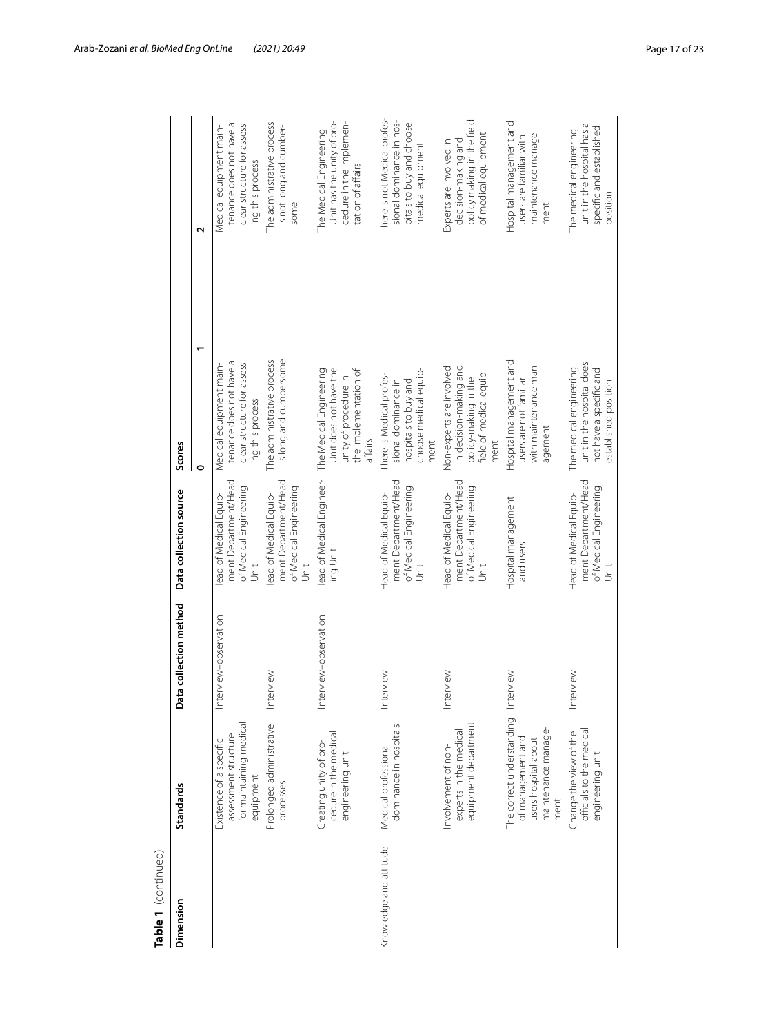| Table 1 (continued)    |                                                                                                       |                        |                                                                                  |                                                                                                                |                                                                                                           |
|------------------------|-------------------------------------------------------------------------------------------------------|------------------------|----------------------------------------------------------------------------------|----------------------------------------------------------------------------------------------------------------|-----------------------------------------------------------------------------------------------------------|
| Dimension              | Standards                                                                                             | Data collection method | Data collection source                                                           | Scores                                                                                                         |                                                                                                           |
|                        |                                                                                                       |                        |                                                                                  | $\circ$                                                                                                        | $\mathbf{\Omega}$                                                                                         |
|                        | for maintaining medical<br>assessment structure<br>Existence of a specific<br>equipment               | Interview-observation  | ment Department/Head<br>of Medical Engineering<br>Head of Medical Equip-<br>Unit | clear structure for assess-<br>tenance does not have a<br>Medical equipment main-<br>ing this process          | clear structure for assess-<br>tenance does not have a<br>Medical equipment main-<br>ing this process     |
|                        | Prolonged administrative<br>processes                                                                 | Interview              | ment Department/Head<br>of Medical Engineering<br>Head of Medical Equip-<br>Jnit | is long and cumbersome<br>The administrative process                                                           | The administrative process<br>is not long and cumber-<br>some                                             |
|                        | cedure in the medical<br>Creating unity of pro-<br>engineering unit                                   | Interview-observation  | Head of Medical Engineer-<br>ing Unit                                            | Unit does not have the<br>The Medical Engineering<br>the implementation of<br>unity of procedure in<br>affairs | Unit has the unity of pro-<br>cedure in the implemen-<br>The Medical Engineering<br>tation of affairs     |
| Knowledge and attitude | dominance in hospitals<br>Medical professional                                                        | Interview              | ment Department/Head<br>of Medical Engineering<br>Head of Medical Equip-<br>Unit | choose medical equip-<br>There is Medical profes-<br>hospitals to buy and<br>sional dominance in<br>ment       | There is not Medical profes-<br>sional dominance in hos-<br>pitals to buy and choose<br>medical equipment |
|                        | equipment department<br>experts in the medical<br>Involvement of non-                                 | Interview              | ment Department/Head<br>of Medical Engineering<br>Head of Medical Equip-<br>Unit | in decision-making and<br>Non-experts are involved<br>field of medical equip-<br>policy-making in the<br>ment  | policy making in the field<br>of medical equipment<br>decision-making and<br>Experts are involved in      |
|                        | The correct understanding<br>maintenance manage-<br>of management and<br>users hospital about<br>ment | Interview              | Hospital management<br>and users                                                 | Hospital management and<br>with maintenance man-<br>users are not familiar<br>agement                          | Hospital management and<br>maintenance manage-<br>users are familiar with<br>ment                         |
|                        | officials to the medical<br>Change the view of the<br>engineering unit                                | Interview              | ment Department/Head<br>of Medical Engineering<br>Head of Medical Equip-<br>Unit | unit in the hospital does<br>The medical engineering<br>not have a specific and<br>established position        | unit in the hospital has a<br>specific and established<br>The medical engineering<br>position             |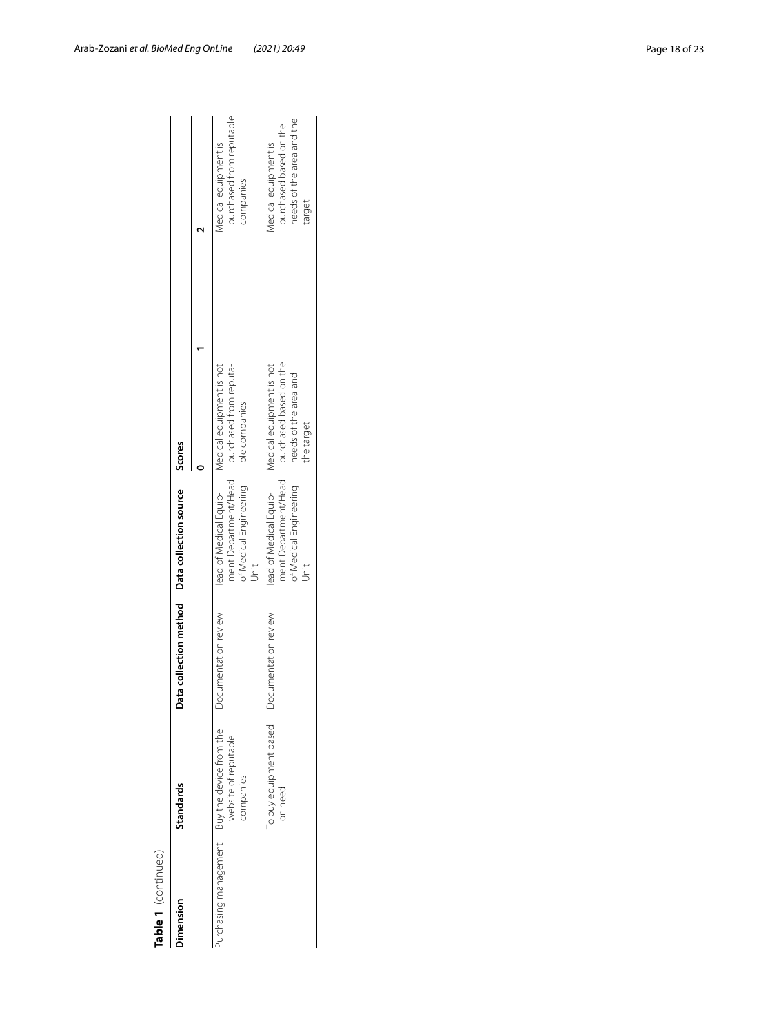| Table 1 (continued) |                                                                                    |                      |                                                                                                                       |                                                                                           |                                                                                       |
|---------------------|------------------------------------------------------------------------------------|----------------------|-----------------------------------------------------------------------------------------------------------------------|-------------------------------------------------------------------------------------------|---------------------------------------------------------------------------------------|
| Jimension           | <b>Standards</b>                                                                   |                      | ata collection method Data collection source Scores                                                                   |                                                                                           |                                                                                       |
|                     |                                                                                    |                      |                                                                                                                       |                                                                                           |                                                                                       |
|                     | Purchasing management Buy the device from the<br>website of reputable<br>companies | ocumentation review  | Head of Medical Equip-<br>Medical equipment is not<br>ment Department/Head<br>of Medical Engineering<br>$\frac{1}{2}$ | purchased from reputa-<br>ble companies                                                   | purchased from reputable<br>Medical equipment is<br>companies                         |
|                     | To buy equipment based<br>on need                                                  | Documentation review | ment Department/Head<br>of Medical Engineering<br>Head of Medical Equip-<br>Jnit                                      | purchased based on the<br>Medical equipment is not<br>needs of the area and<br>the target | needs of the area and the<br>purchased based on the<br>Medical equipment is<br>target |

| ı, |
|----|
|    |
| τ  |
|    |
|    |
|    |
|    |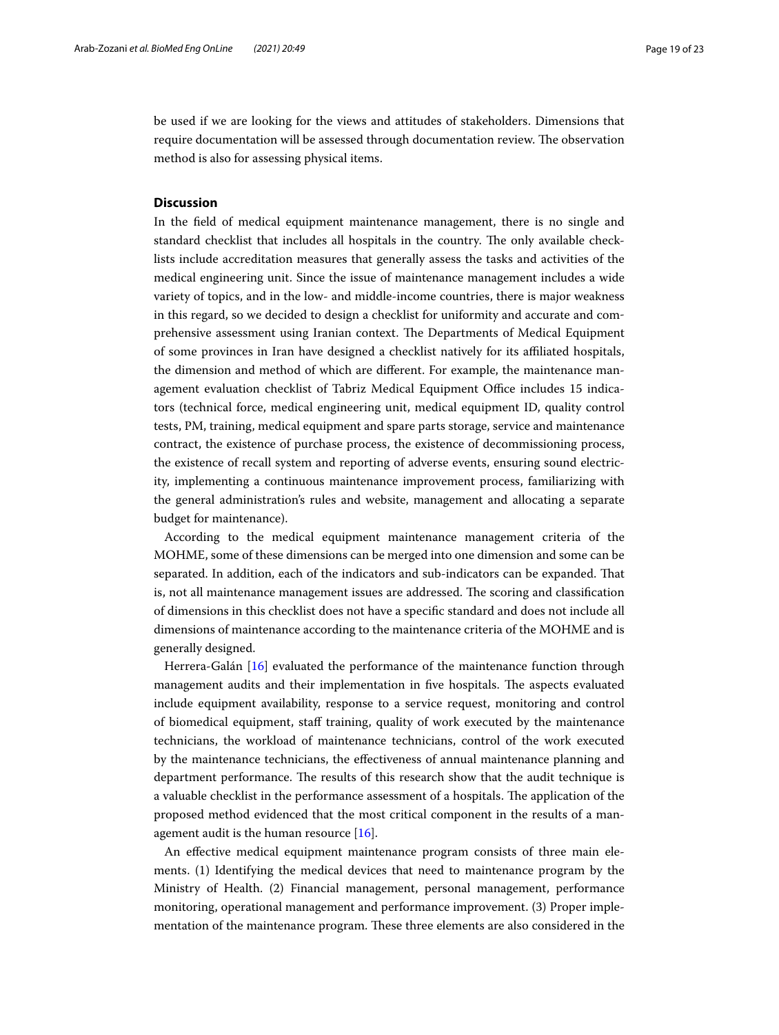be used if we are looking for the views and attitudes of stakeholders. Dimensions that require documentation will be assessed through documentation review. The observation method is also for assessing physical items.

## **Discussion**

In the feld of medical equipment maintenance management, there is no single and standard checklist that includes all hospitals in the country. The only available checklists include accreditation measures that generally assess the tasks and activities of the medical engineering unit. Since the issue of maintenance management includes a wide variety of topics, and in the low- and middle-income countries, there is major weakness in this regard, so we decided to design a checklist for uniformity and accurate and comprehensive assessment using Iranian context. The Departments of Medical Equipment of some provinces in Iran have designed a checklist natively for its afliated hospitals, the dimension and method of which are diferent. For example, the maintenance management evaluation checklist of Tabriz Medical Equipment Office includes 15 indicators (technical force, medical engineering unit, medical equipment ID, quality control tests, PM, training, medical equipment and spare parts storage, service and maintenance contract, the existence of purchase process, the existence of decommissioning process, the existence of recall system and reporting of adverse events, ensuring sound electricity, implementing a continuous maintenance improvement process, familiarizing with the general administration's rules and website, management and allocating a separate budget for maintenance).

According to the medical equipment maintenance management criteria of the MOHME, some of these dimensions can be merged into one dimension and some can be separated. In addition, each of the indicators and sub-indicators can be expanded. That is, not all maintenance management issues are addressed. The scoring and classification of dimensions in this checklist does not have a specifc standard and does not include all dimensions of maintenance according to the maintenance criteria of the MOHME and is generally designed.

Herrera-Galán [\[16](#page-22-15)] evaluated the performance of the maintenance function through management audits and their implementation in five hospitals. The aspects evaluated include equipment availability, response to a service request, monitoring and control of biomedical equipment, staf training, quality of work executed by the maintenance technicians, the workload of maintenance technicians, control of the work executed by the maintenance technicians, the efectiveness of annual maintenance planning and department performance. The results of this research show that the audit technique is a valuable checklist in the performance assessment of a hospitals. The application of the proposed method evidenced that the most critical component in the results of a management audit is the human resource [[16\]](#page-22-15).

An efective medical equipment maintenance program consists of three main elements. (1) Identifying the medical devices that need to maintenance program by the Ministry of Health. (2) Financial management, personal management, performance monitoring, operational management and performance improvement. (3) Proper implementation of the maintenance program. These three elements are also considered in the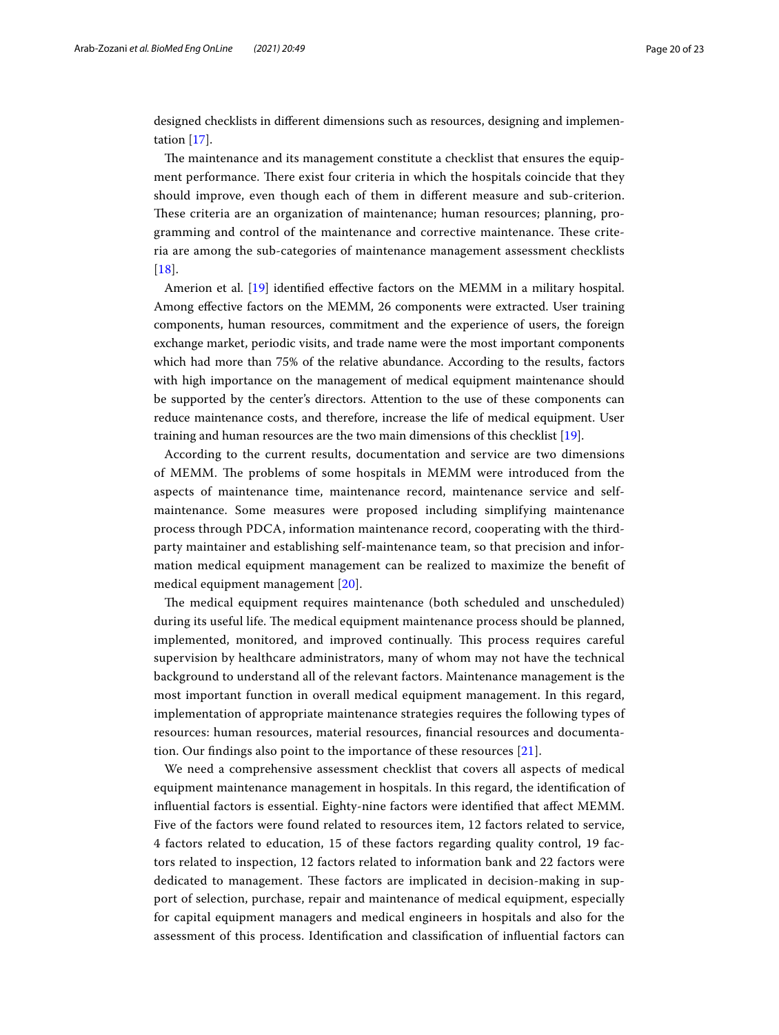designed checklists in diferent dimensions such as resources, designing and implementation [\[17](#page-22-16)].

The maintenance and its management constitute a checklist that ensures the equipment performance. There exist four criteria in which the hospitals coincide that they should improve, even though each of them in diferent measure and sub-criterion. These criteria are an organization of maintenance; human resources; planning, programming and control of the maintenance and corrective maintenance. These criteria are among the sub-categories of maintenance management assessment checklists  $[18]$  $[18]$  $[18]$ .

Amerion et al. [[19\]](#page-22-18) identifed efective factors on the MEMM in a military hospital. Among efective factors on the MEMM, 26 components were extracted. User training components, human resources, commitment and the experience of users, the foreign exchange market, periodic visits, and trade name were the most important components which had more than 75% of the relative abundance. According to the results, factors with high importance on the management of medical equipment maintenance should be supported by the center's directors. Attention to the use of these components can reduce maintenance costs, and therefore, increase the life of medical equipment. User training and human resources are the two main dimensions of this checklist [[19](#page-22-18)].

According to the current results, documentation and service are two dimensions of MEMM. The problems of some hospitals in MEMM were introduced from the aspects of maintenance time, maintenance record, maintenance service and selfmaintenance. Some measures were proposed including simplifying maintenance process through PDCA, information maintenance record, cooperating with the thirdparty maintainer and establishing self-maintenance team, so that precision and information medical equipment management can be realized to maximize the beneft of medical equipment management [[20\]](#page-22-19).

The medical equipment requires maintenance (both scheduled and unscheduled) during its useful life. The medical equipment maintenance process should be planned, implemented, monitored, and improved continually. Tis process requires careful supervision by healthcare administrators, many of whom may not have the technical background to understand all of the relevant factors. Maintenance management is the most important function in overall medical equipment management. In this regard, implementation of appropriate maintenance strategies requires the following types of resources: human resources, material resources, fnancial resources and documentation. Our fndings also point to the importance of these resources [[21\]](#page-22-20).

We need a comprehensive assessment checklist that covers all aspects of medical equipment maintenance management in hospitals. In this regard, the identifcation of infuential factors is essential. Eighty-nine factors were identifed that afect MEMM. Five of the factors were found related to resources item, 12 factors related to service, 4 factors related to education, 15 of these factors regarding quality control, 19 factors related to inspection, 12 factors related to information bank and 22 factors were dedicated to management. These factors are implicated in decision-making in support of selection, purchase, repair and maintenance of medical equipment, especially for capital equipment managers and medical engineers in hospitals and also for the assessment of this process. Identifcation and classifcation of infuential factors can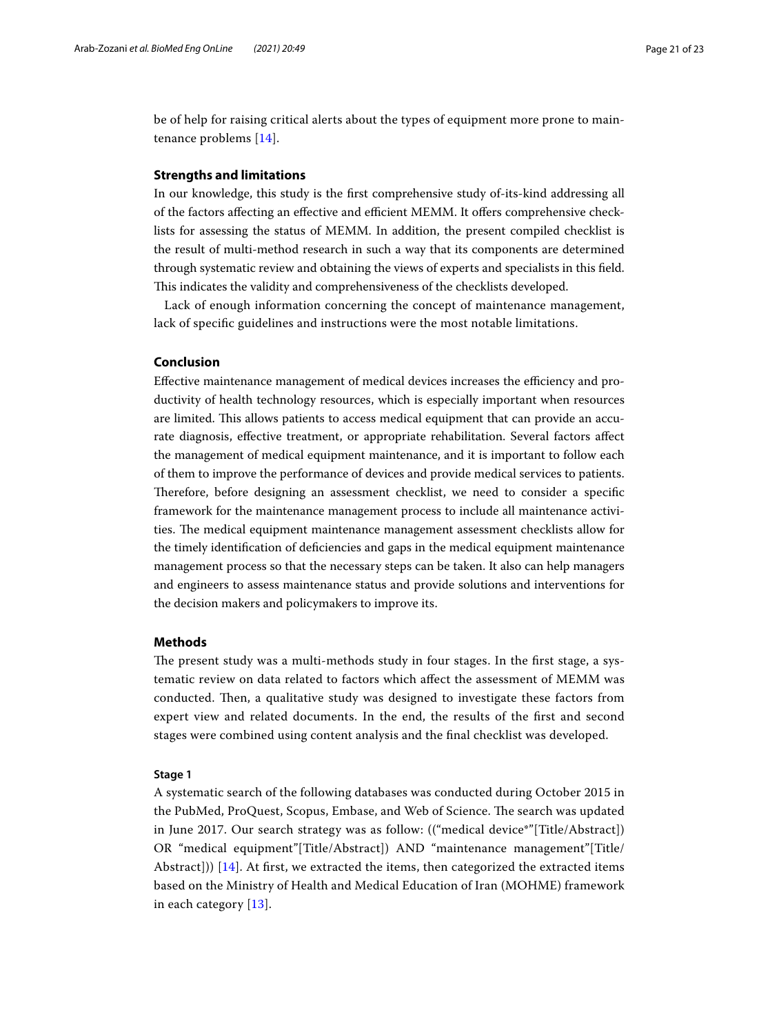be of help for raising critical alerts about the types of equipment more prone to maintenance problems [[14](#page-22-13)].

## **Strengths and limitations**

In our knowledge, this study is the frst comprehensive study of-its-kind addressing all of the factors affecting an effective and efficient MEMM. It offers comprehensive checklists for assessing the status of MEMM. In addition, the present compiled checklist is the result of multi-method research in such a way that its components are determined through systematic review and obtaining the views of experts and specialists in this feld. This indicates the validity and comprehensiveness of the checklists developed.

Lack of enough information concerning the concept of maintenance management, lack of specifc guidelines and instructions were the most notable limitations.

## **Conclusion**

Effective maintenance management of medical devices increases the efficiency and productivity of health technology resources, which is especially important when resources are limited. This allows patients to access medical equipment that can provide an accurate diagnosis, efective treatment, or appropriate rehabilitation. Several factors afect the management of medical equipment maintenance, and it is important to follow each of them to improve the performance of devices and provide medical services to patients. Therefore, before designing an assessment checklist, we need to consider a specific framework for the maintenance management process to include all maintenance activities. The medical equipment maintenance management assessment checklists allow for the timely identifcation of defciencies and gaps in the medical equipment maintenance management process so that the necessary steps can be taken. It also can help managers and engineers to assess maintenance status and provide solutions and interventions for the decision makers and policymakers to improve its.

## **Methods**

The present study was a multi-methods study in four stages. In the first stage, a systematic review on data related to factors which afect the assessment of MEMM was conducted. Then, a qualitative study was designed to investigate these factors from expert view and related documents. In the end, the results of the frst and second stages were combined using content analysis and the fnal checklist was developed.

## **Stage 1**

A systematic search of the following databases was conducted during October 2015 in the PubMed, ProQuest, Scopus, Embase, and Web of Science. The search was updated in June 2017. Our search strategy was as follow: (("medical device\*"[Title/Abstract]) OR "medical equipment"[Title/Abstract]) AND "maintenance management"[Title/ Abstract])) [[14\]](#page-22-13). At frst, we extracted the items, then categorized the extracted items based on the Ministry of Health and Medical Education of Iran (MOHME) framework in each category [[13](#page-22-12)].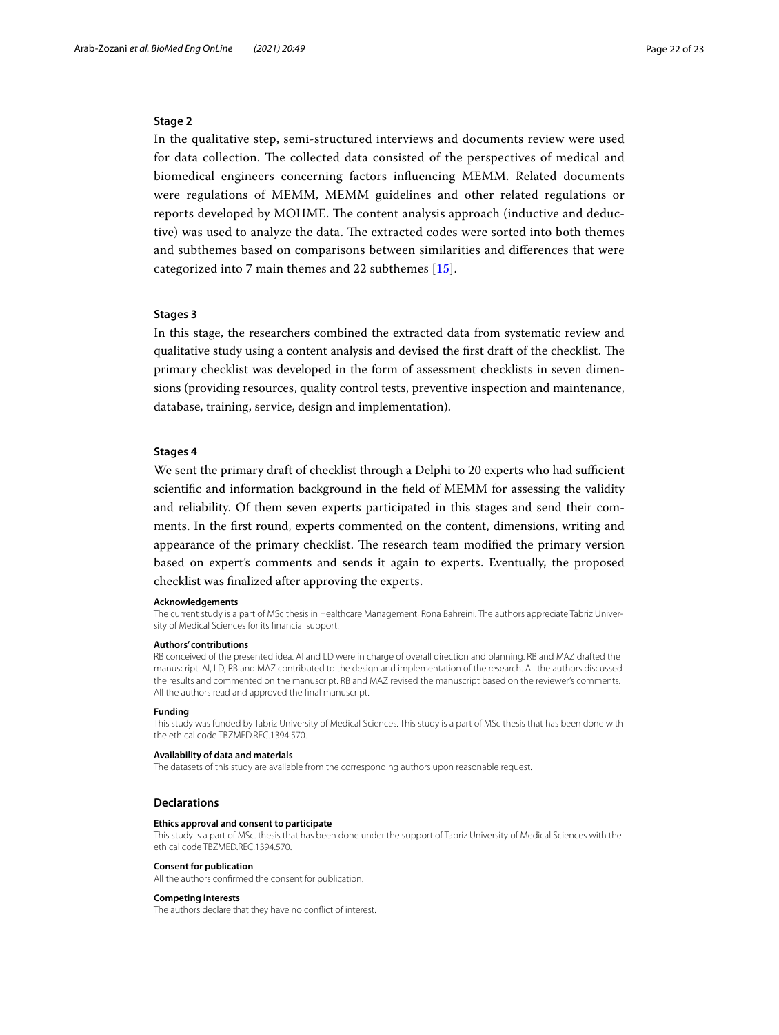## **Stage 2**

In the qualitative step, semi-structured interviews and documents review were used for data collection. The collected data consisted of the perspectives of medical and biomedical engineers concerning factors infuencing MEMM. Related documents were regulations of MEMM, MEMM guidelines and other related regulations or reports developed by MOHME. The content analysis approach (inductive and deductive) was used to analyze the data. The extracted codes were sorted into both themes and subthemes based on comparisons between similarities and diferences that were categorized into 7 main themes and 22 subthemes [[15\]](#page-22-14).

## **Stages 3**

In this stage, the researchers combined the extracted data from systematic review and qualitative study using a content analysis and devised the first draft of the checklist. The primary checklist was developed in the form of assessment checklists in seven dimensions (providing resources, quality control tests, preventive inspection and maintenance, database, training, service, design and implementation).

### **Stages 4**

We sent the primary draft of checklist through a Delphi to 20 experts who had sufficient scientifc and information background in the feld of MEMM for assessing the validity and reliability. Of them seven experts participated in this stages and send their comments. In the frst round, experts commented on the content, dimensions, writing and appearance of the primary checklist. The research team modified the primary version based on expert's comments and sends it again to experts. Eventually, the proposed checklist was fnalized after approving the experts.

#### **Acknowledgements**

The current study is a part of MSc thesis in Healthcare Management, Rona Bahreini. The authors appreciate Tabriz University of Medical Sciences for its fnancial support.

#### **Authors' contributions**

RB conceived of the presented idea. AI and LD were in charge of overall direction and planning. RB and MAZ drafted the manuscript. AI, LD, RB and MAZ contributed to the design and implementation of the research. All the authors discussed the results and commented on the manuscript. RB and MAZ revised the manuscript based on the reviewer's comments. All the authors read and approved the fnal manuscript.

#### **Funding**

This study was funded by Tabriz University of Medical Sciences. This study is a part of MSc thesis that has been done with the ethical code TBZMED.REC.1394.570.

#### **Availability of data and materials**

The datasets of this study are available from the corresponding authors upon reasonable request.

#### **Declarations**

#### **Ethics approval and consent to participate**

This study is a part of MSc. thesis that has been done under the support of Tabriz University of Medical Sciences with the ethical code TBZMED.REC.1394.570.

#### **Consent for publication** All the authors confrmed the consent for publication.

## **Competing interests**

The authors declare that they have no confict of interest.